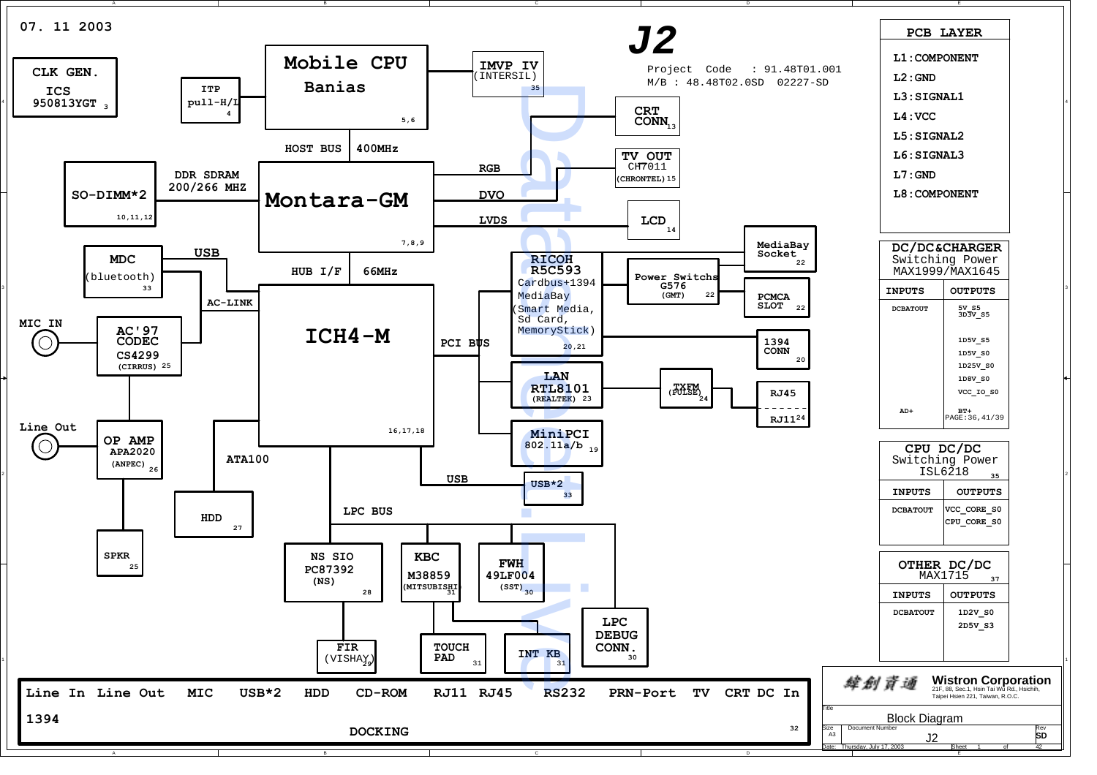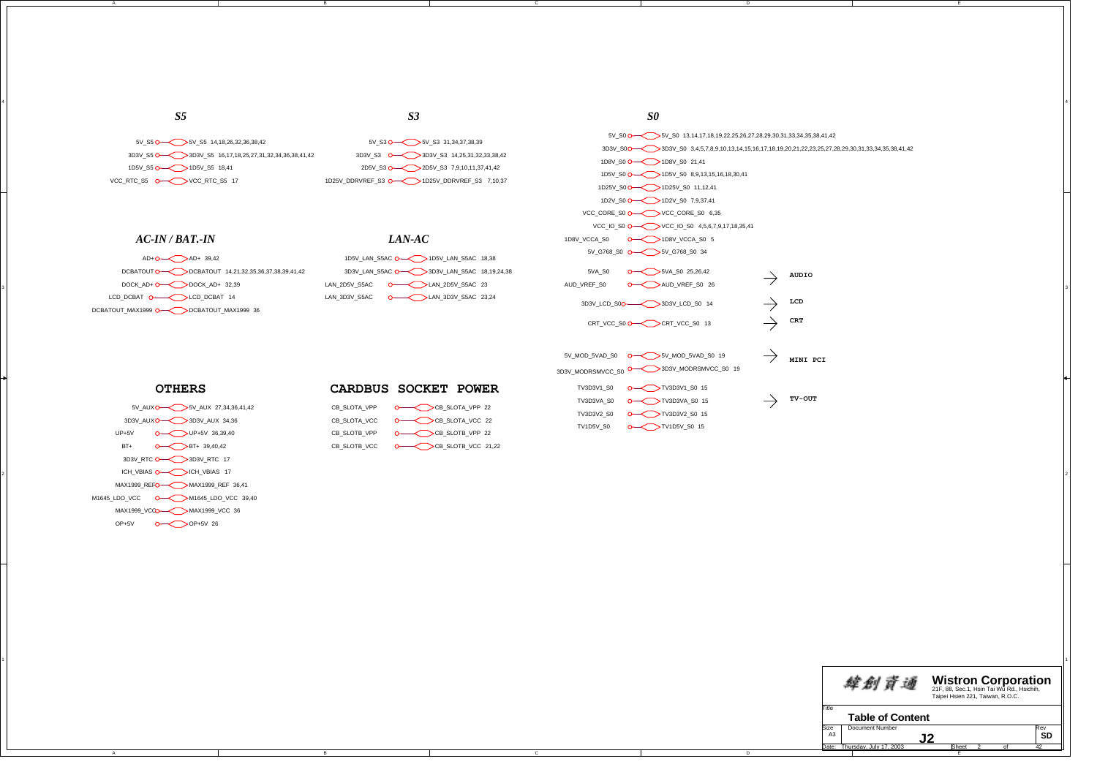3D3V\_S5 3D3V\_S5 16,17,18,25,27,31,32,34,36,38,41,42 1D5V\_S5 O- $\lt$  >1D5V\_S5 18,41 5V\_S5 5V\_S5 14,18,26,32,36,38,42 VCC\_RTC\_S5 VCC\_RTC\_S5 17

# *AC-IN / BAT.-IN*

*S5*

A

3

#### DCBATOUT O  $\longrightarrow$  DCBATOUT 14,21,32,35,36,37,38,39,41,42 AD+O ---<< > > AD+ 39,42 LCD\_DCBAT\_O———<>>
LCD\_DCBAT\_14 DOCK\_AD+ O<sup>\_\_\_</sup>\_\_\_\_\_\_\_\_DOCK\_AD+ 32,39 DCBATOUT\_MAX1999 DCBATOUT\_MAX1999 36

| -----                                         |  |
|-----------------------------------------------|--|
| 1D5V LAN S5AC O 1D5V LAN S5AC 18,38           |  |
| 3D3V LAN S5AC O 3D3V LAN S5AC 18,19,24,38     |  |
| <b>O</b> LAN 2D5V S5AC 23<br>LAN 2D5V S5AC    |  |
| <b>O</b> LAN 3D3V S5AC 23,24<br>LAN 3D3V S5AC |  |
|                                               |  |

5V\_S3 O— $\lt$  > 5V\_S3 31,34,37,38,39

2D5V\_S3 O— $\leq$  > 2D5V\_S3 7,9,10,11,37,41,42

3D3V\_S3 **O——< >**3D3V\_S3 14,25,31,32,33,38,42

1D25V\_DDRVREF\_S3 1D25V\_DDRVREF\_S3 7,10,37

*LAN-AC*

### *S3 S0*

4

5V\_S0 5V\_S0 13,14,17,18,19,22,25,26,27,28,29,30,31,33,34,35,38,41,42 3D3V\_S0 3D3V\_S0 3,4,5,7,8,9,10,13,14,15,16,17,18,19,20,21,22,23,25,27,28,29,30,31,33,34,35,38,41,42 1D8V\_S0 1D8V\_S0 21,41 1D5V\_S0 **O**— $\lt$  >1D5V\_S0 8,9,13,15,16,18,30,41 1D25V\_S0 1D25V\_S0 11,12,41 1D2V\_S0 O— $\lt$  >1D2V\_S0 7,9,37,41 VCC\_CORE\_S0 VCC\_CORE\_S0 6,35 VCC\_IO\_S0 **O---<** >VCC\_IO\_S0 4,5,6,7,9,17,18,35,41 1D8V\_VCCA\_S0 1D8V\_VCCA\_S0 5 5V\_G768\_S0 O—C  $>$  5V\_G768\_S0 34 5VA S0 0<sup>-</sup> 5VA S0 25,26,42 **AUDIO** AUD\_VREF\_S0 AUD\_VREF\_S0 26  $\frac{3}{2}$ **LCD** 3D3V\_LCD\_S0 3D3V\_LCD\_S0 14  $\rightarrow$ **CRT** CRT\_VCC\_S0 O CRT\_>CRT\_VCC\_S0\_13 5V\_MOD\_5VAD\_S0 O——< >5V\_MOD\_5VAD\_S0\_19 **MINI PCI** 3D3V\_MODRSMVCC\_S0 3D3V\_MODRSMVCC\_S0 19 TV3D3V1\_S0 TV3D3V1\_S0 15 **TV-OUT** TV3D3VA\_S0 TV3D3VA\_S0 15 TV3D3V2\_S0 TV3D3V2\_S0 15 TV1D5V\_S0 TV1D5V\_S0 15

## **OTHERS**

#### 2 ICH\_VBIAS O────DCH\_VBIAS 17 ICH\_VBIAS 17 ICH\_VBIAS 17 ICH\_VBIAS 17 ICH\_VBIAS 17 ICH\_VBIAS 17 ICH\_VBIAS 17 ICH\_VBIAS 17 ICH\_VBIAS 17 ICH\_VBIAS 17 ICH\_VBIAS 17 ICH\_VBIAS 17 ICH\_VBIAS 17 ICH\_VBIAS 17 ICH\_VBIAS 17 ICH\_VBIAS 5V\_AUX 5V\_AUX 27,34,36,41,42 3D3V\_AUX 3D3V\_AUX 34,36 OP+5V OP+5V 26 MAX1999\_REFMAX1999\_REF 36,41 UP+5VBT++ 0  $\leftarrow$  >BT+ 39,40,42 CB\_SLOTB\_VCC 3D3V\_RTC 3D3V\_RTC 17 M1645\_LDO\_VCC M1645\_LDO\_VCC 39,40 MAX1999\_VCC MAX1999\_VCC 36  $O \longrightarrow$ UP+5V 36,39,40

A



 $C \qquad O \longrightarrow \longrightarrow CB$ \_SLOTB\_VCC 21,22

C



E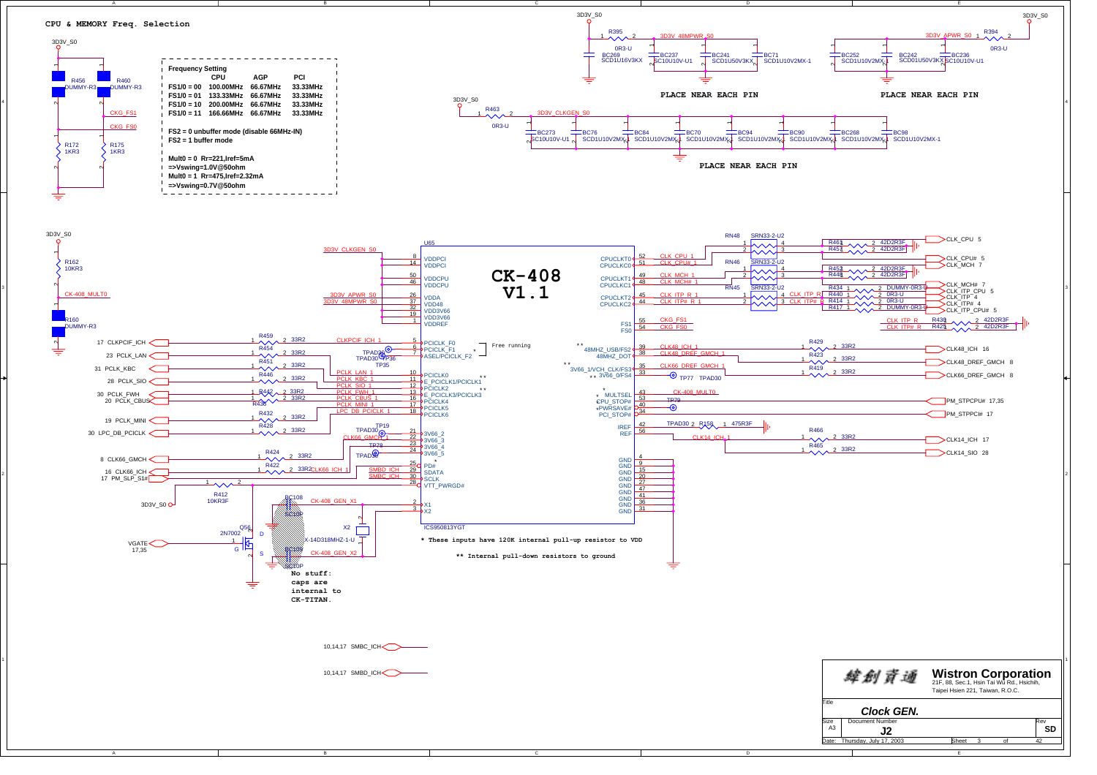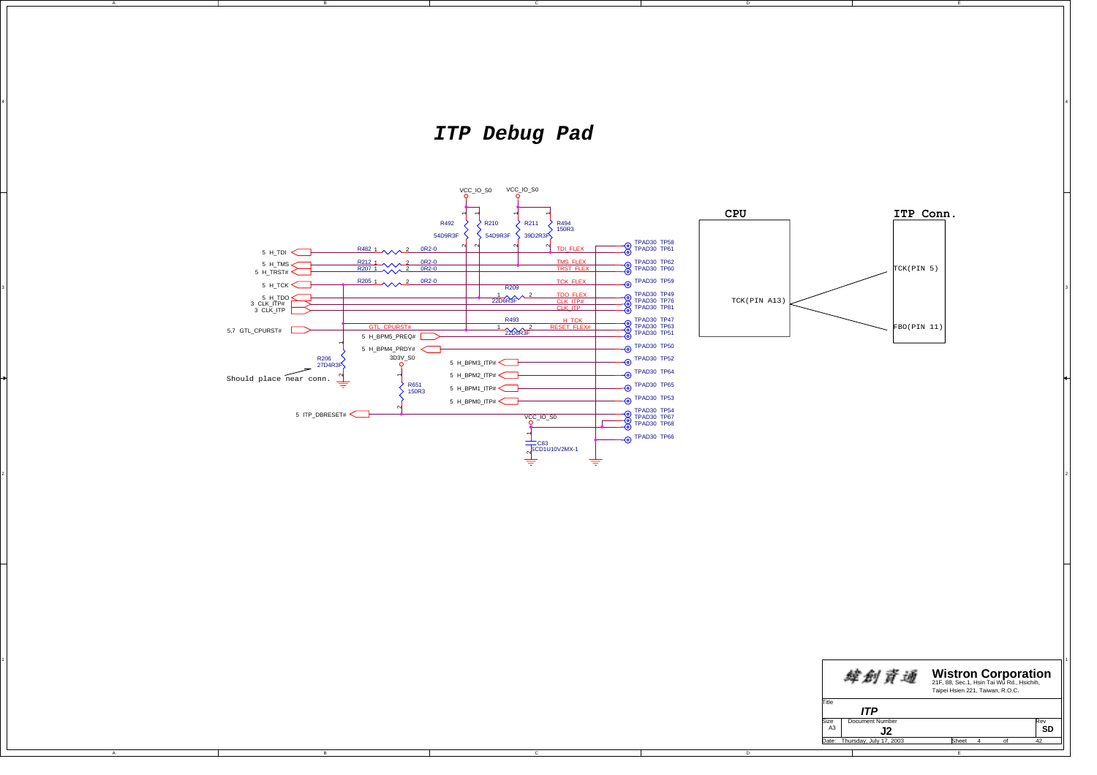*ITP Debug Pad*

4

A

3

A



E

**SD**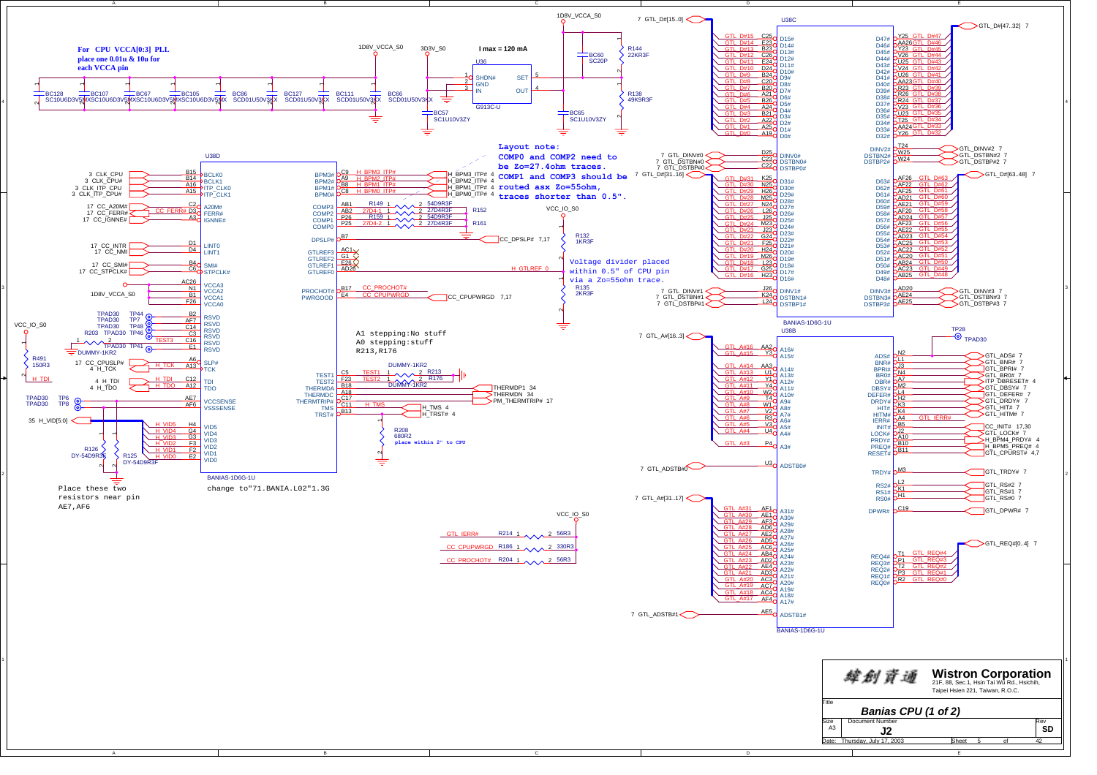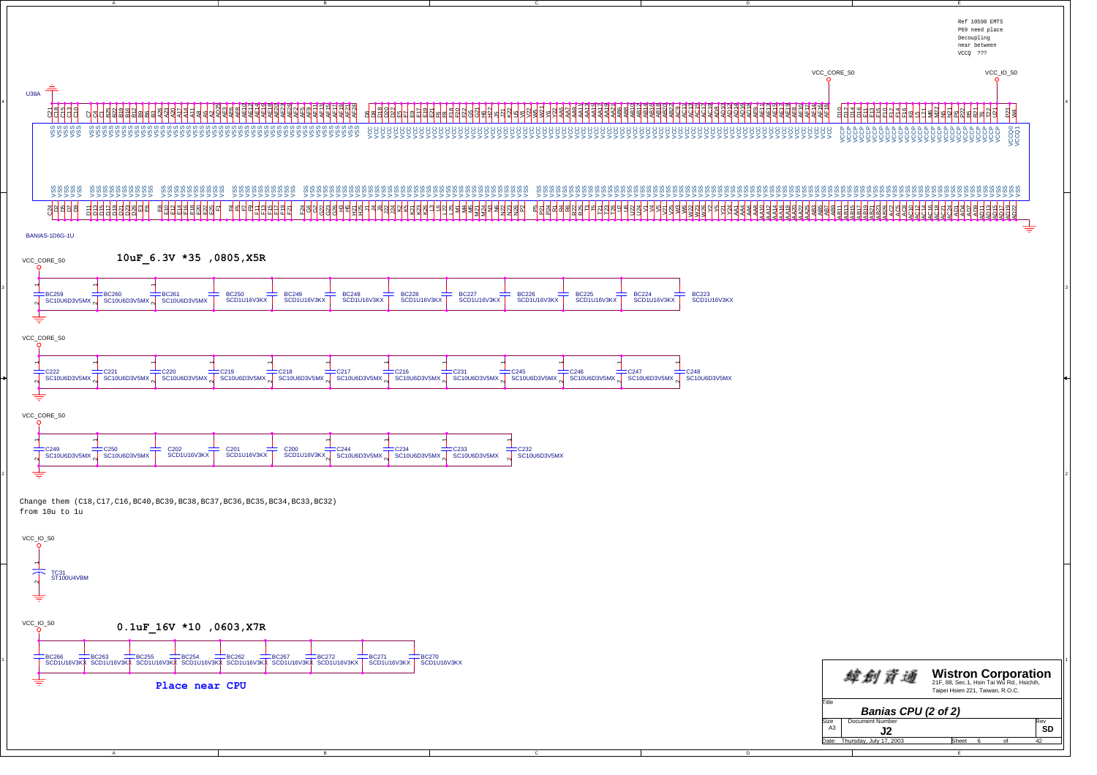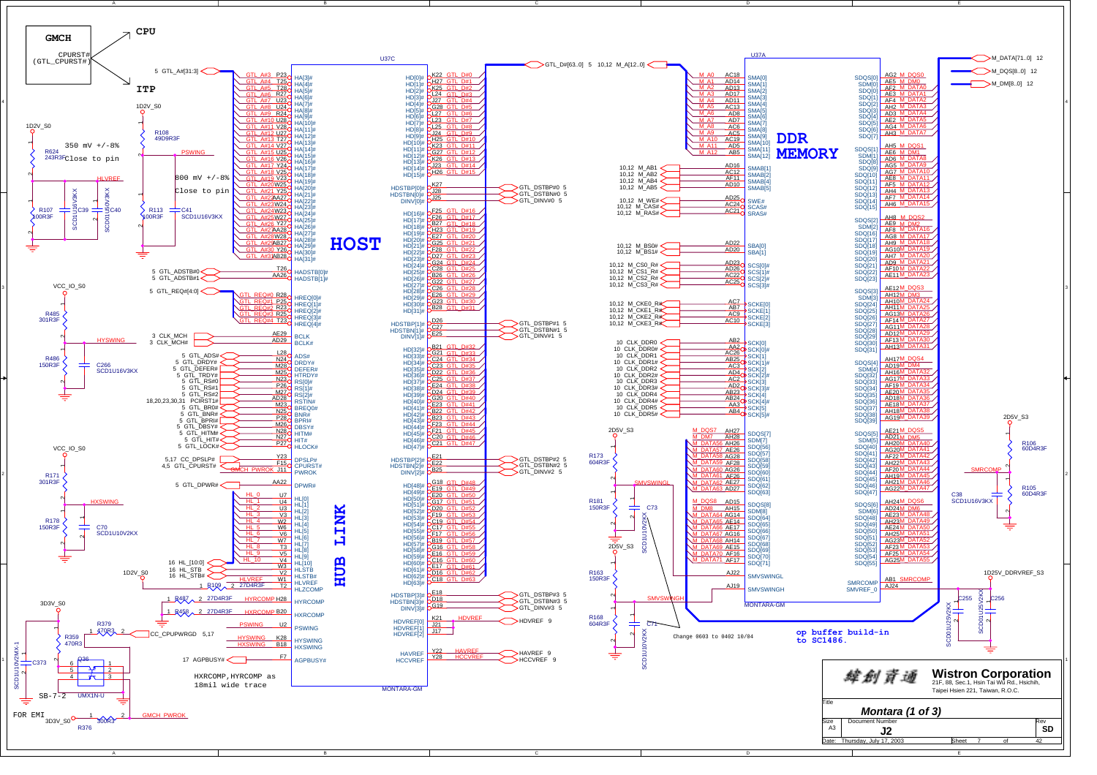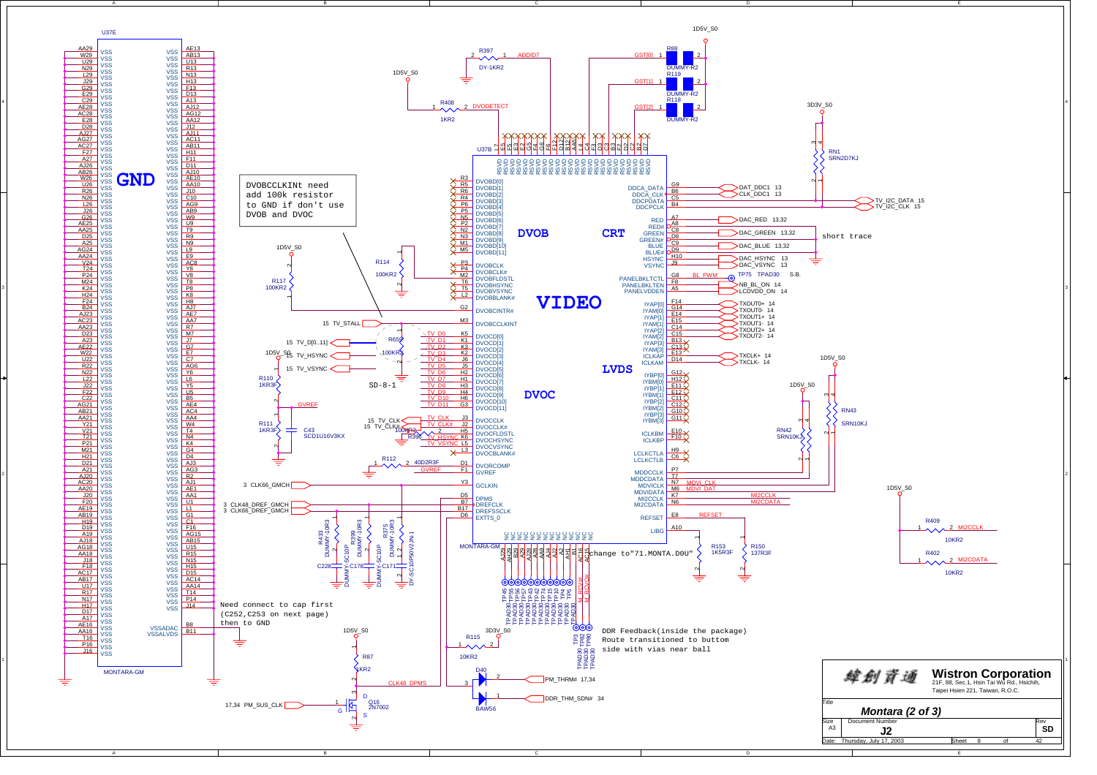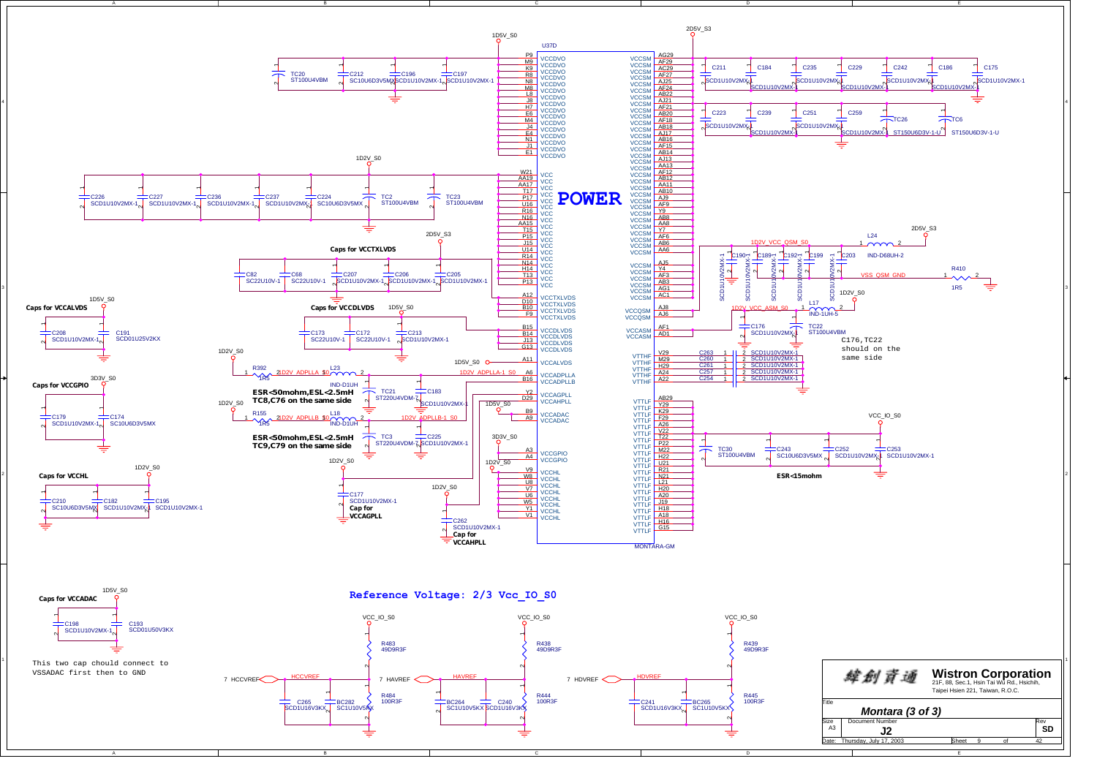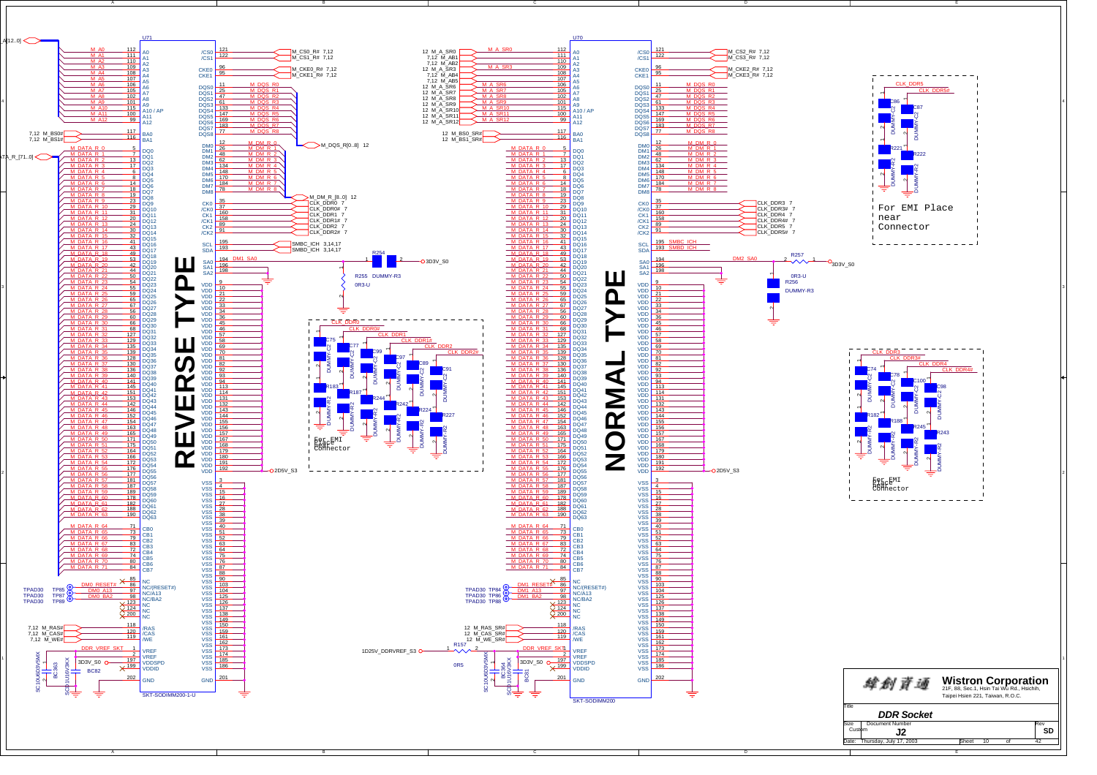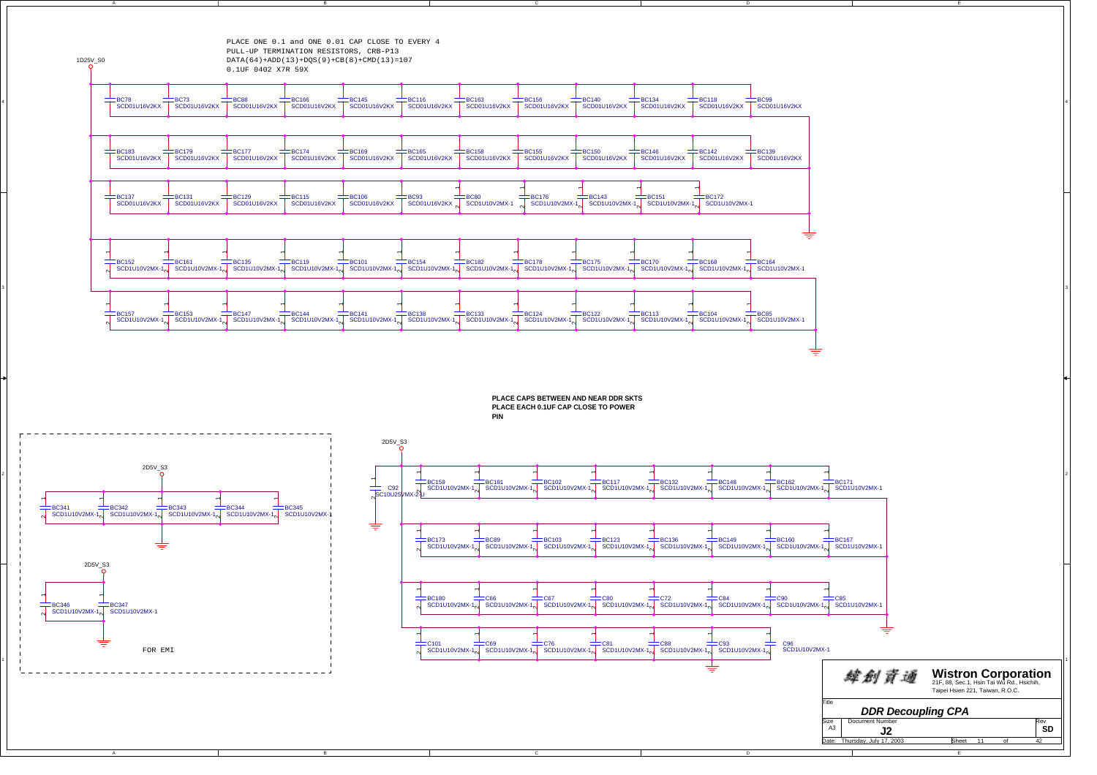

3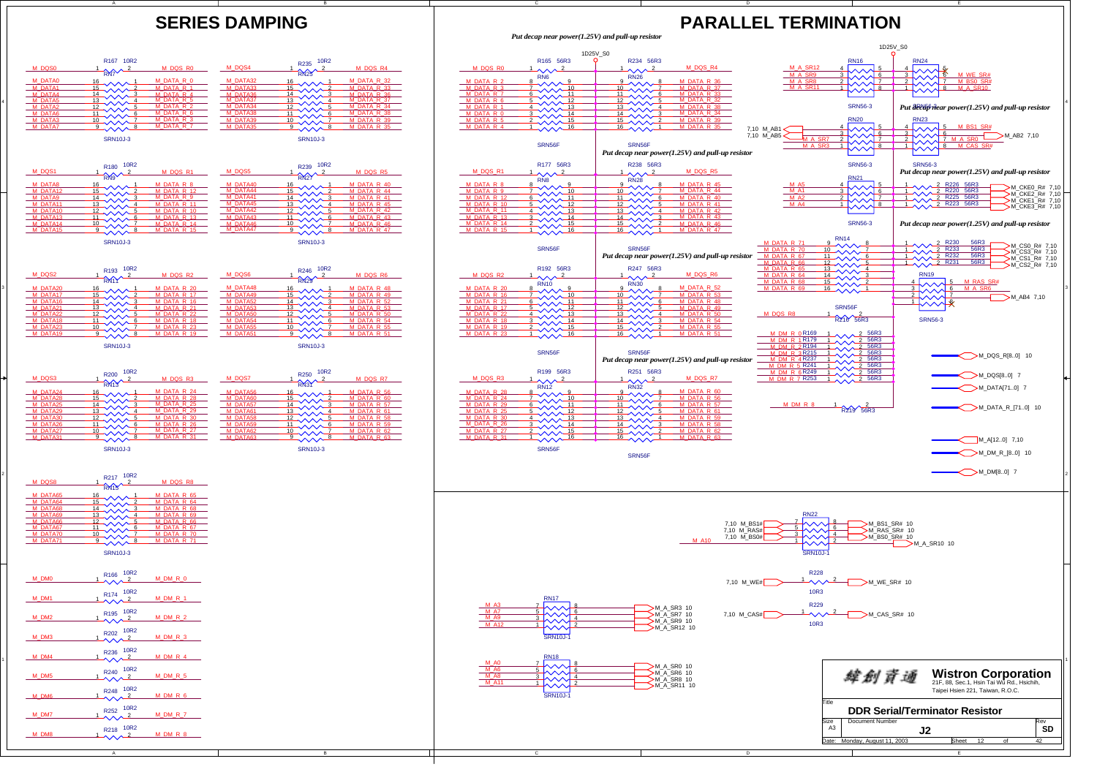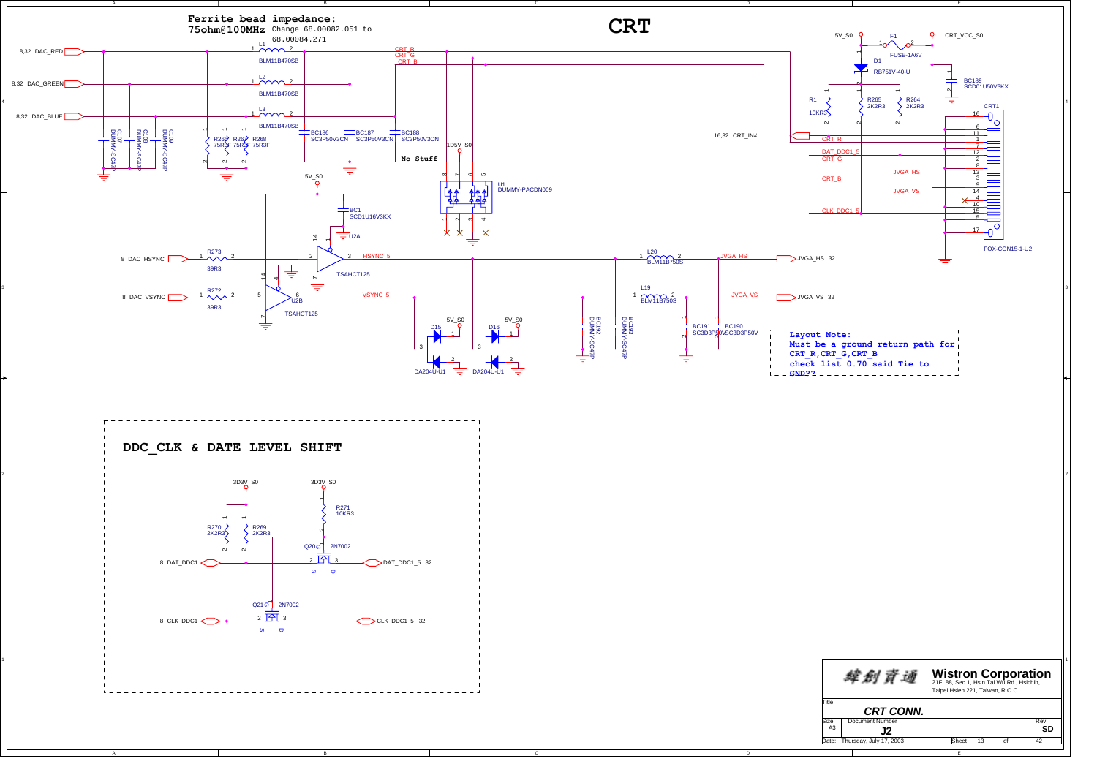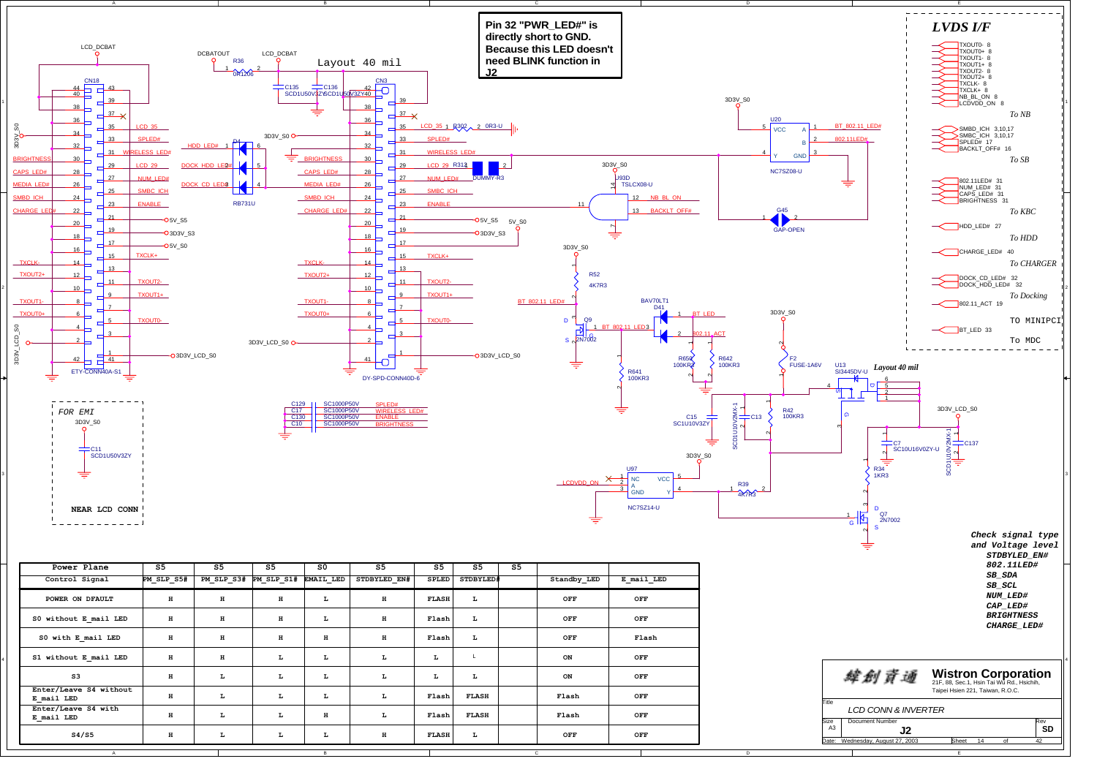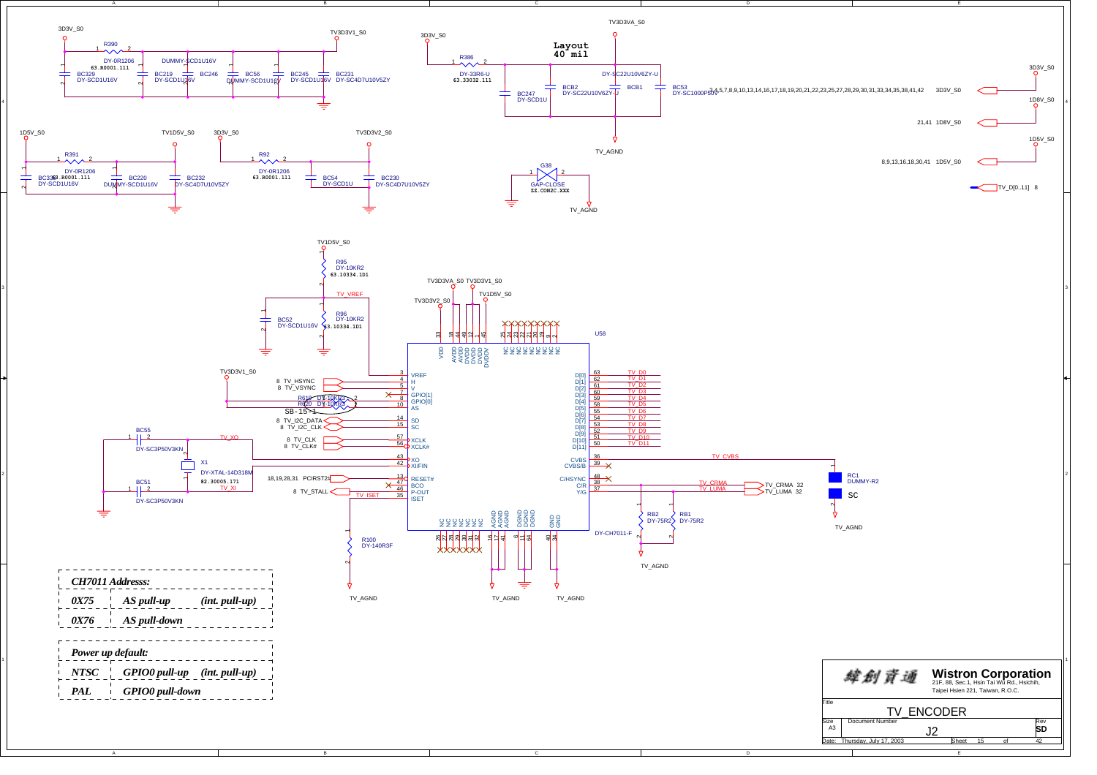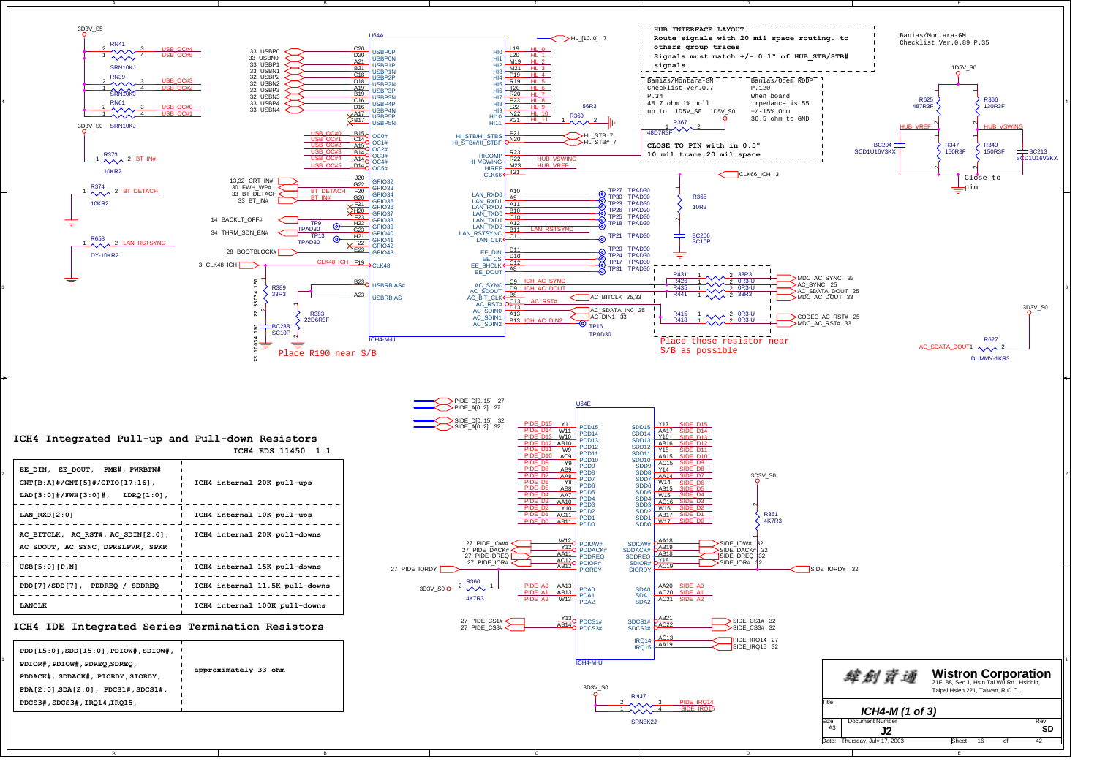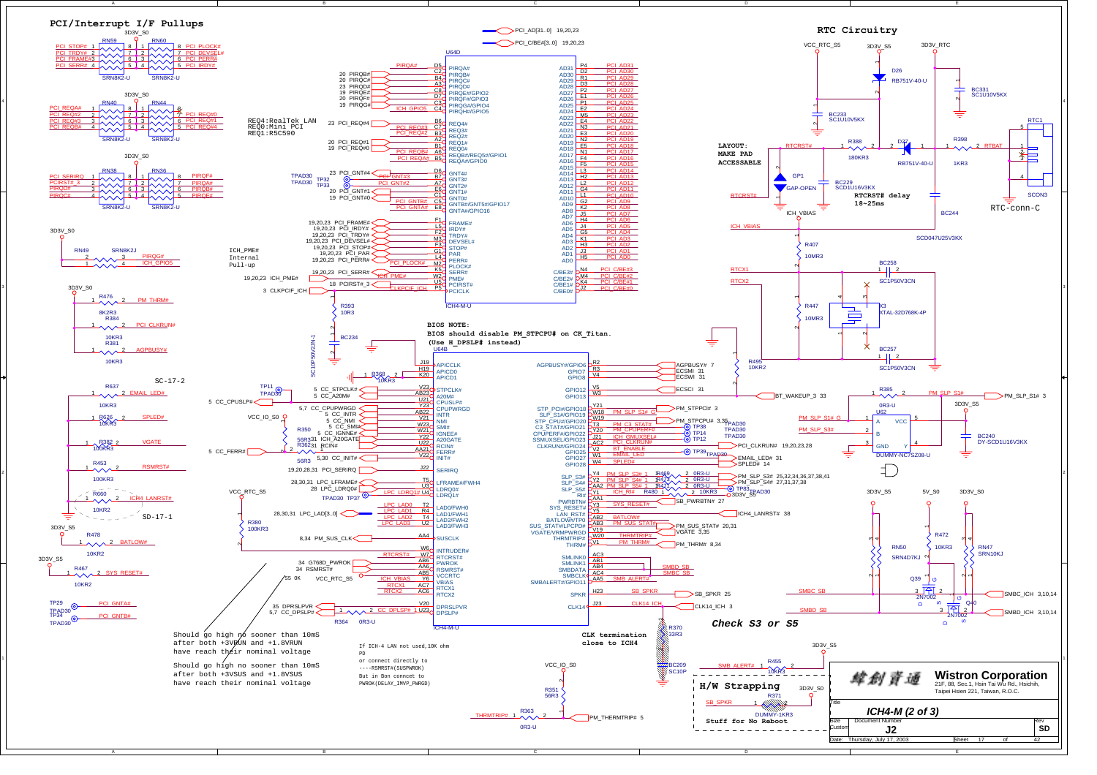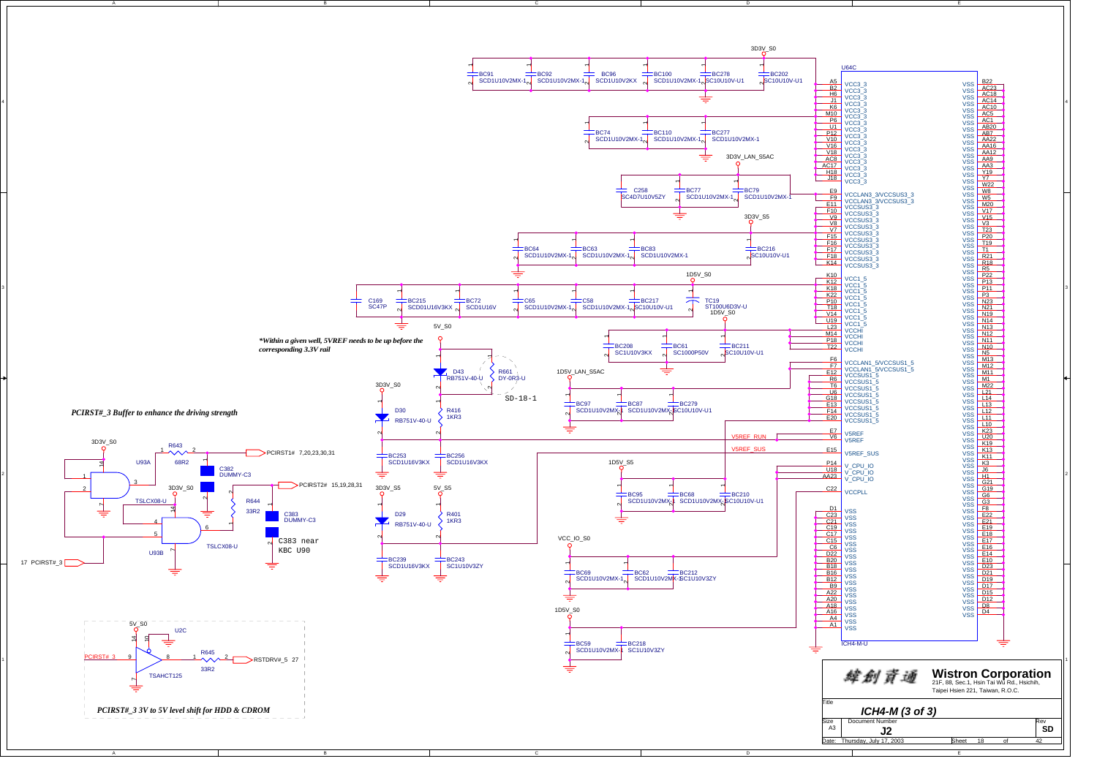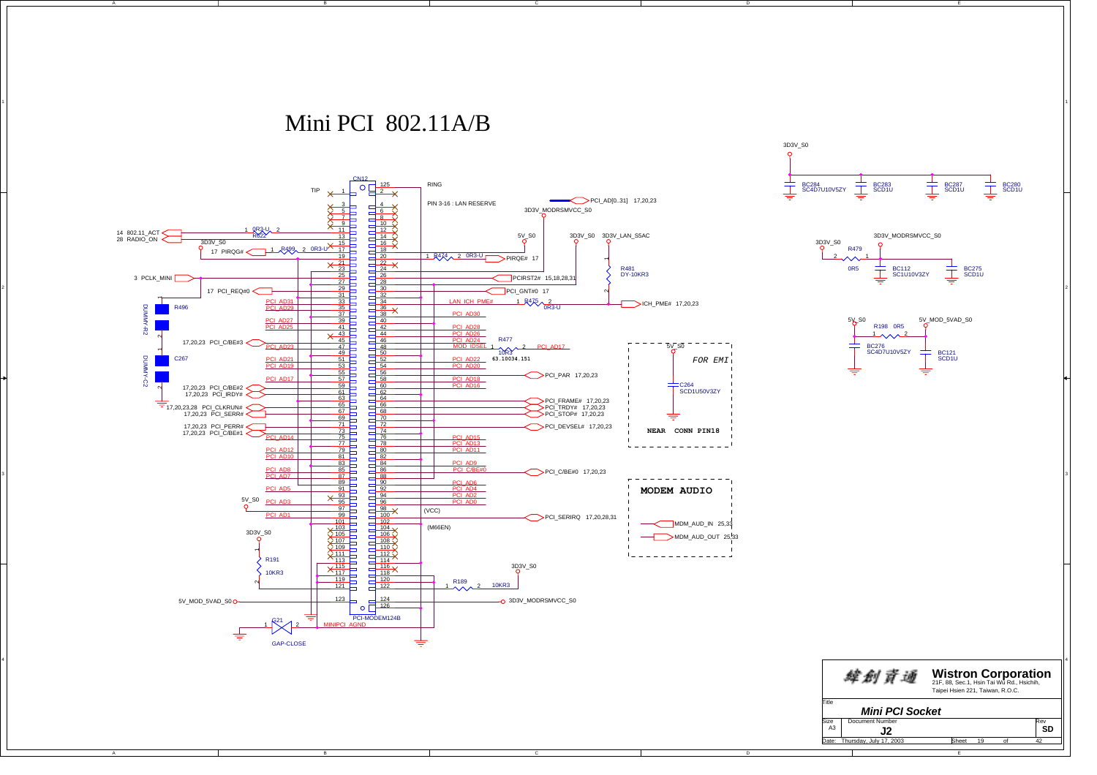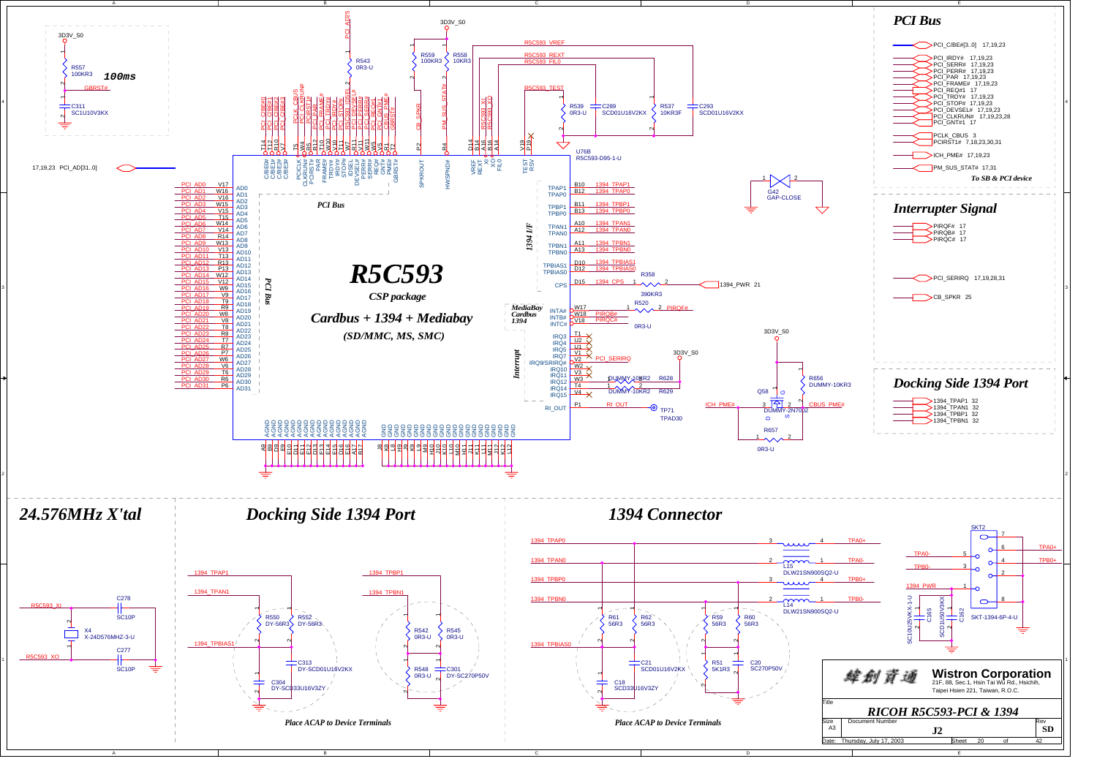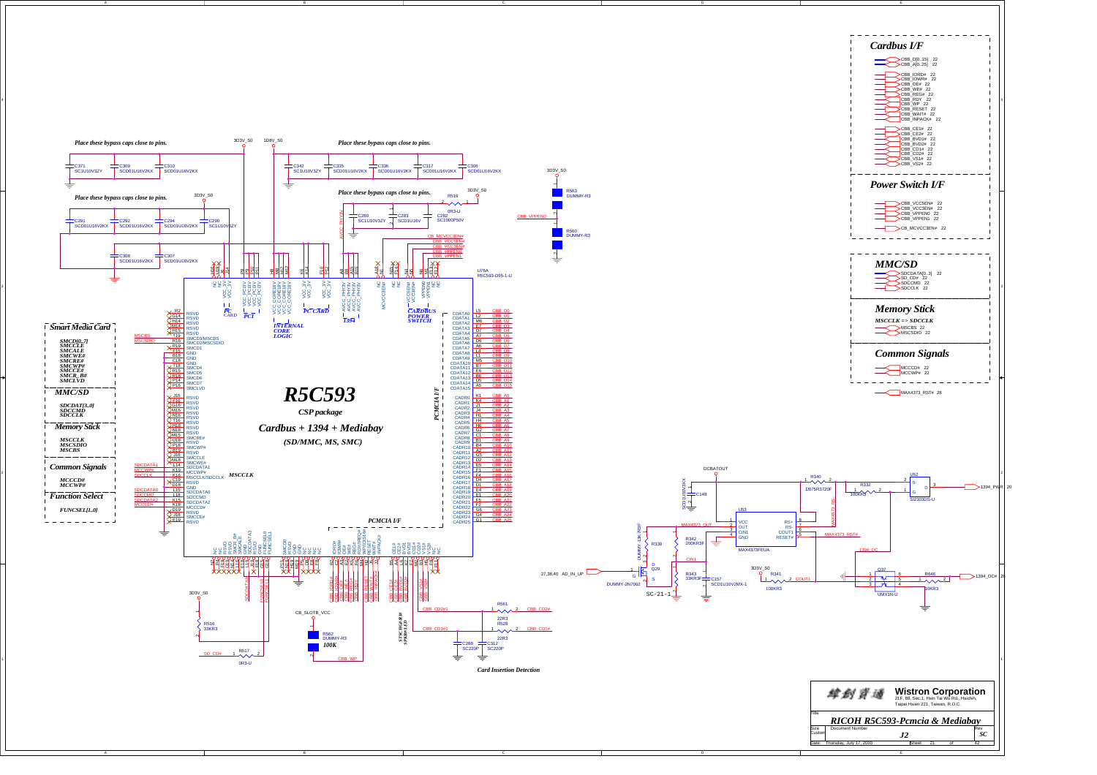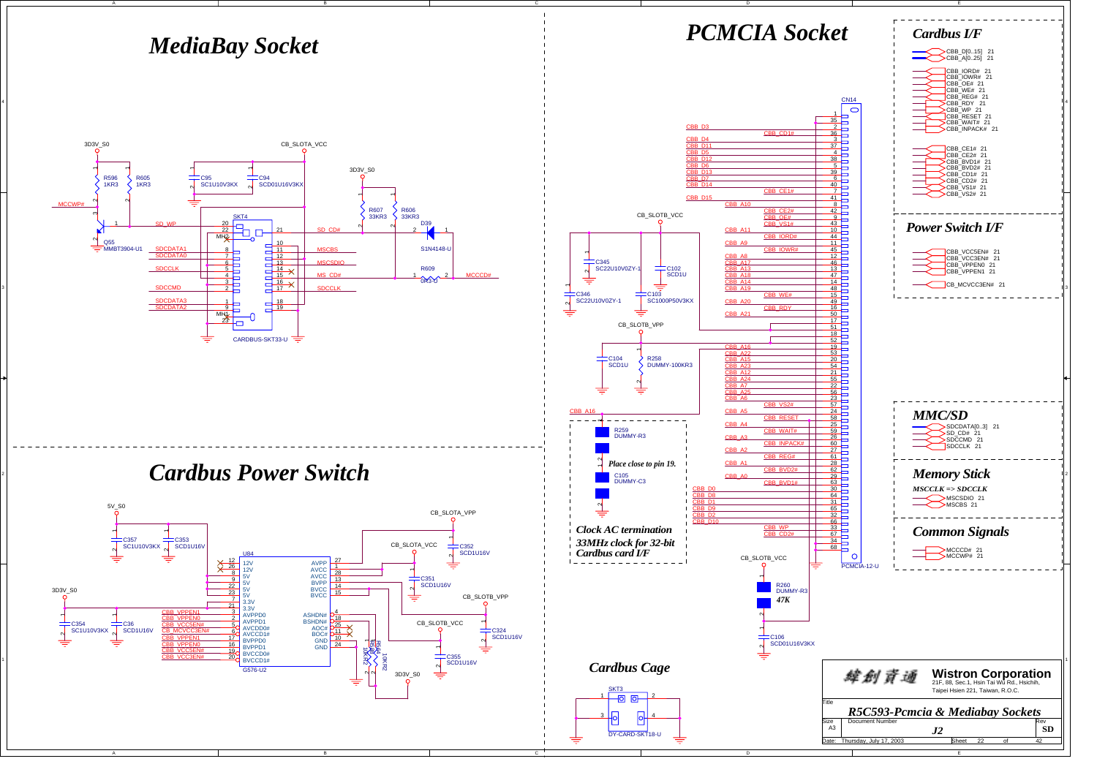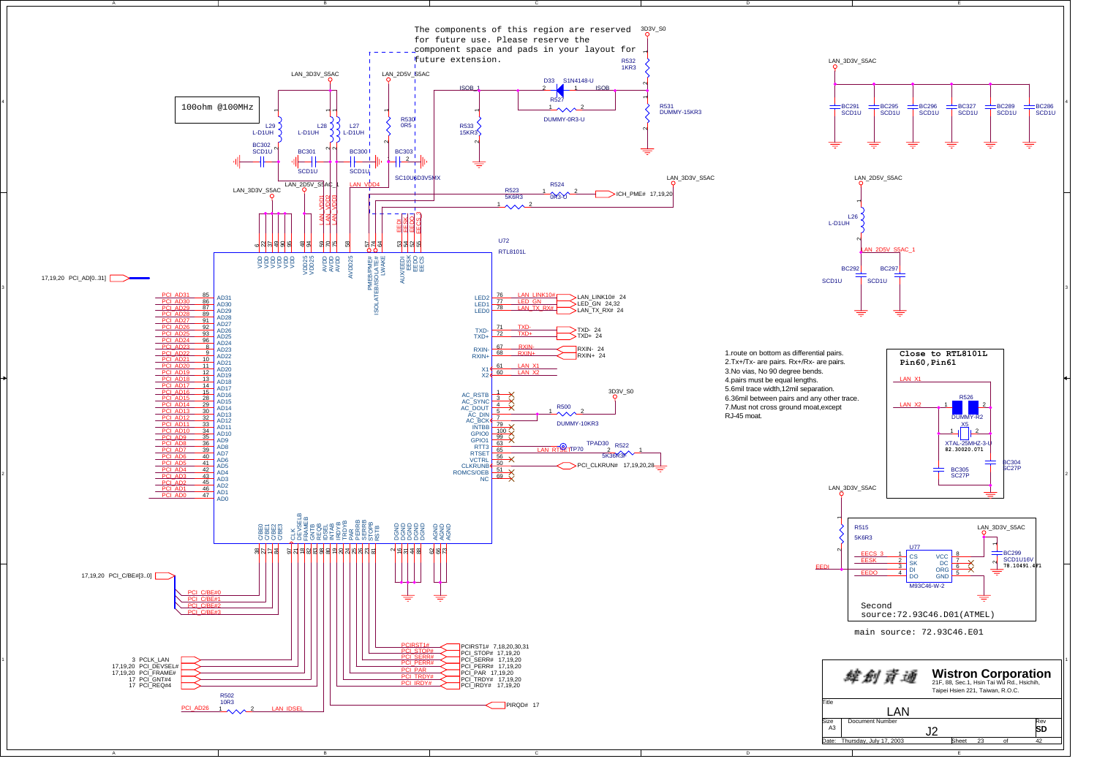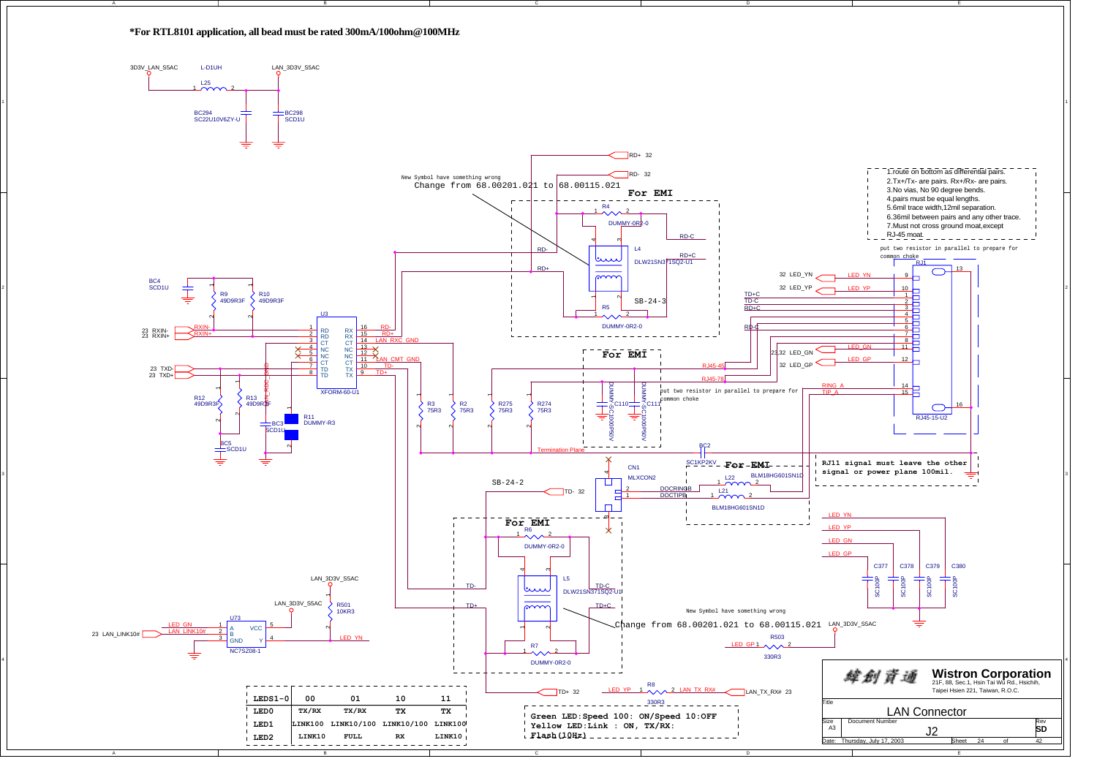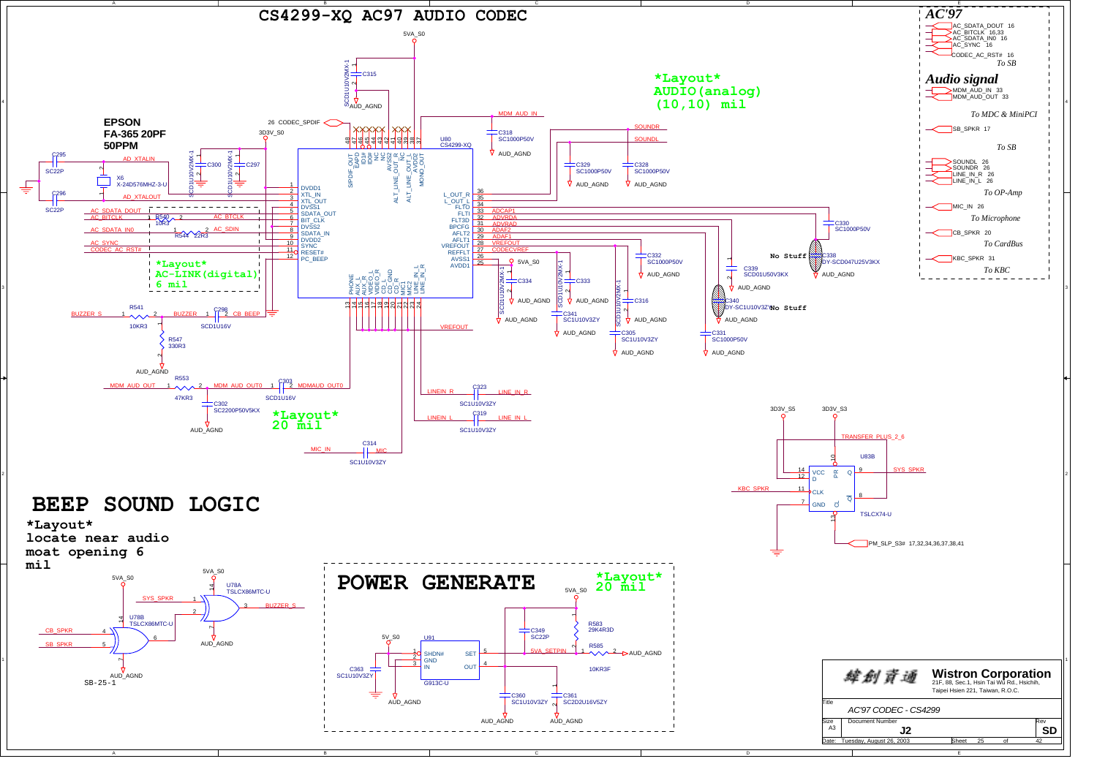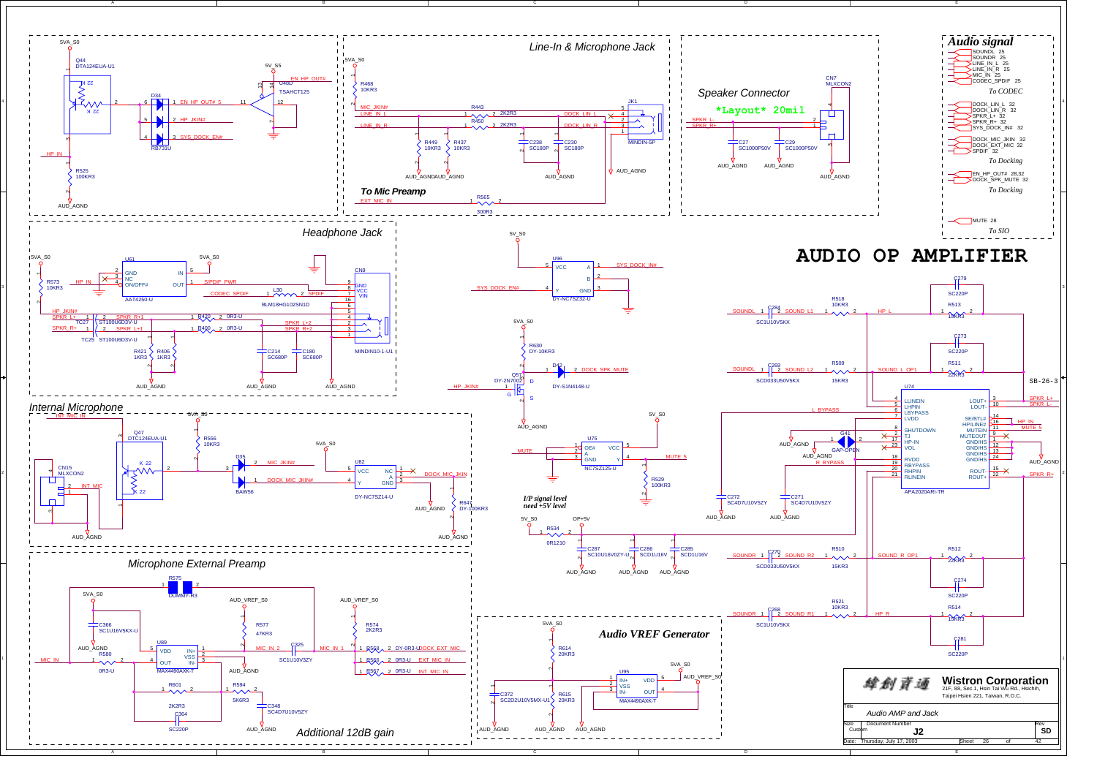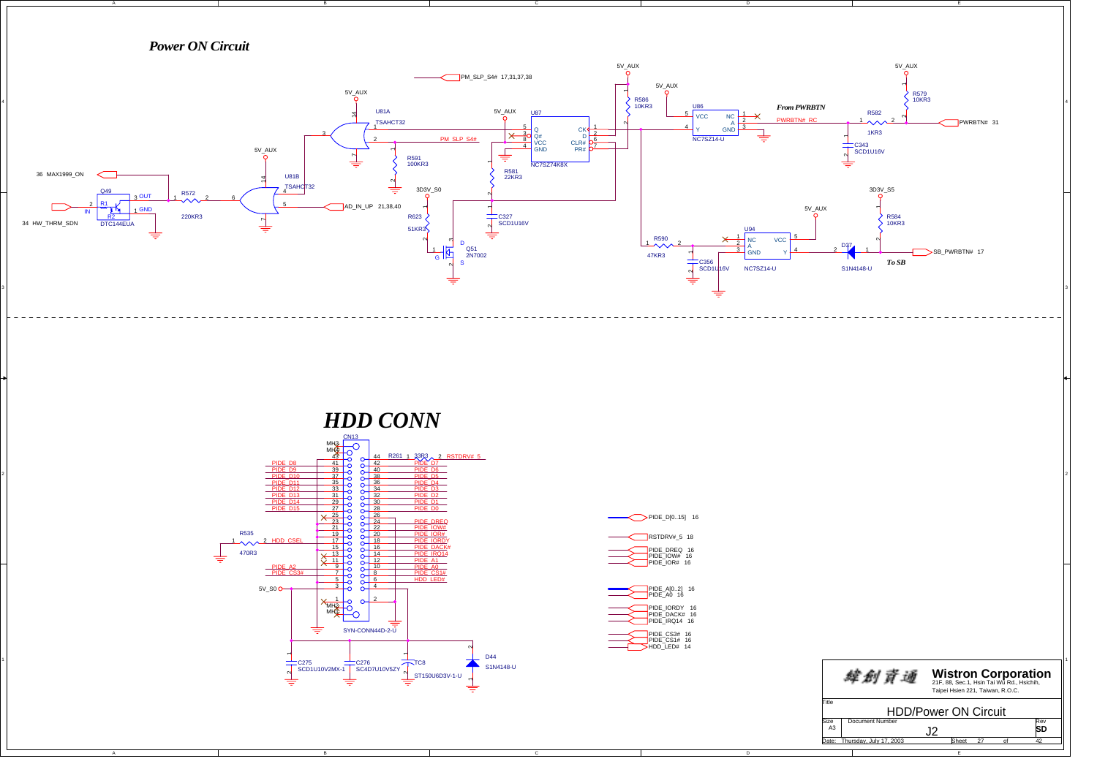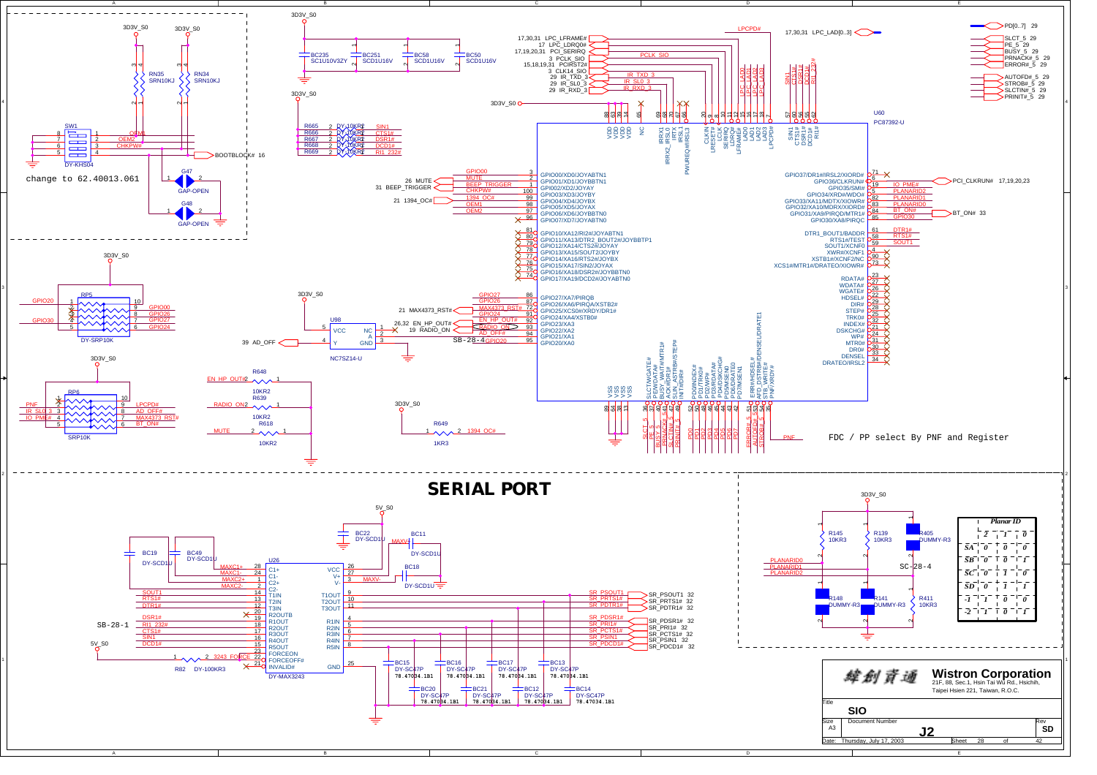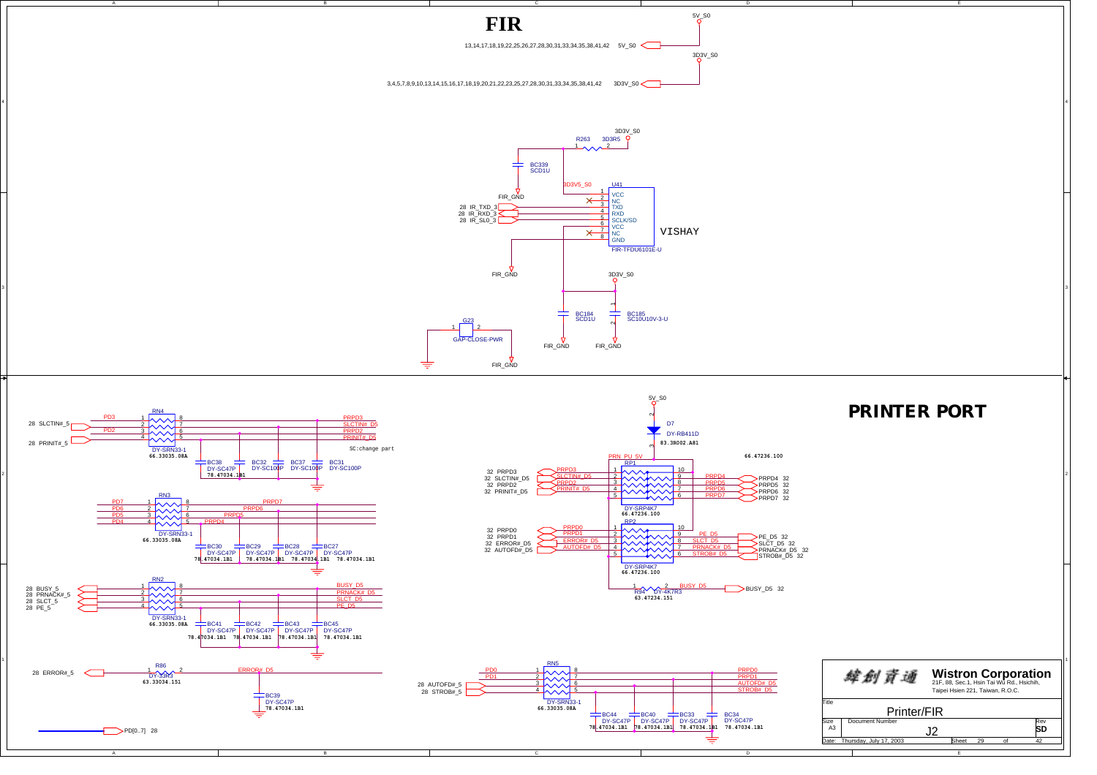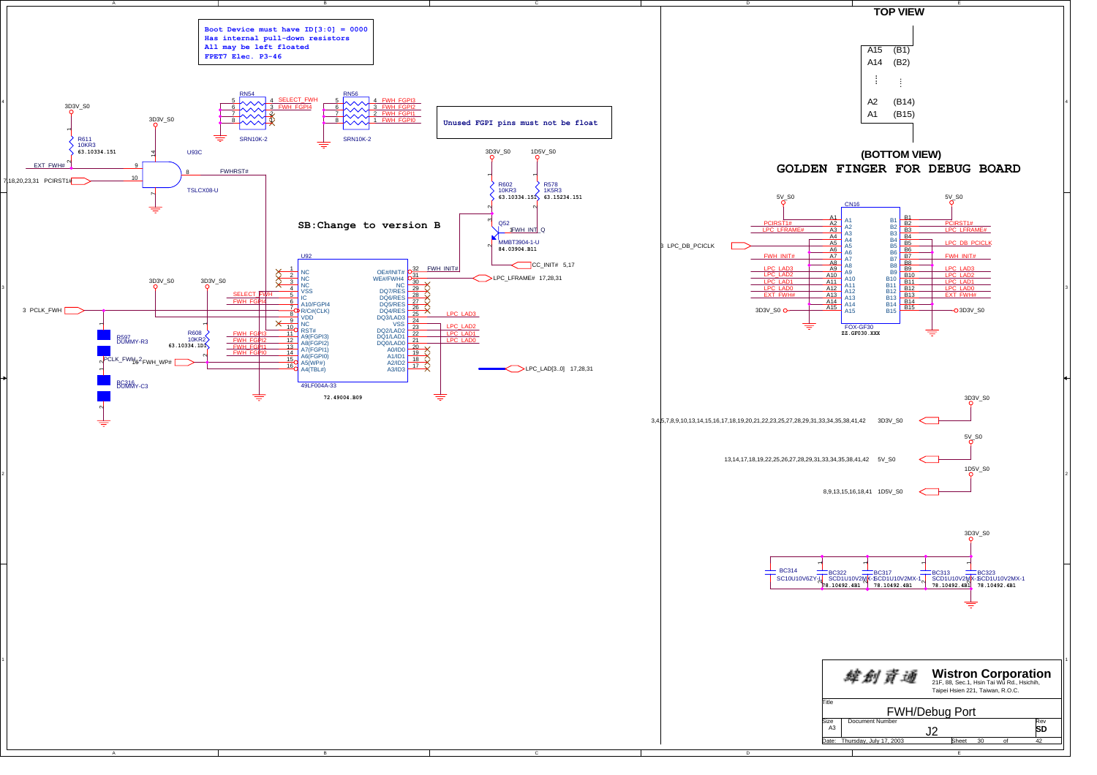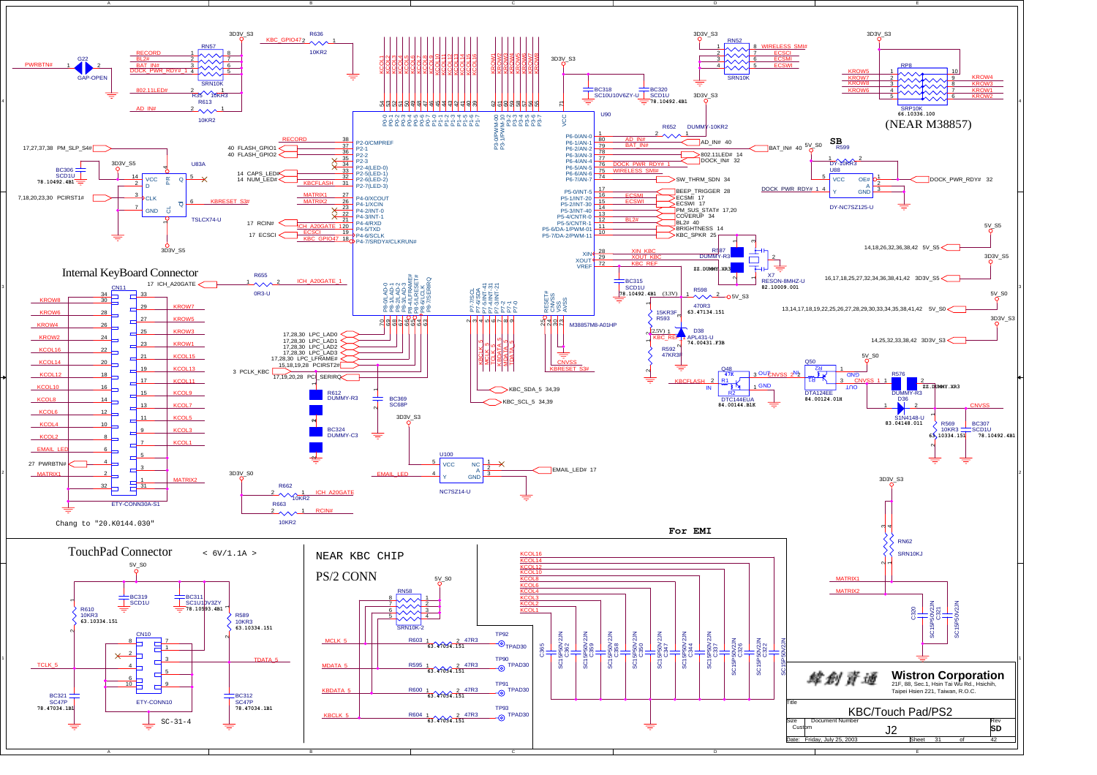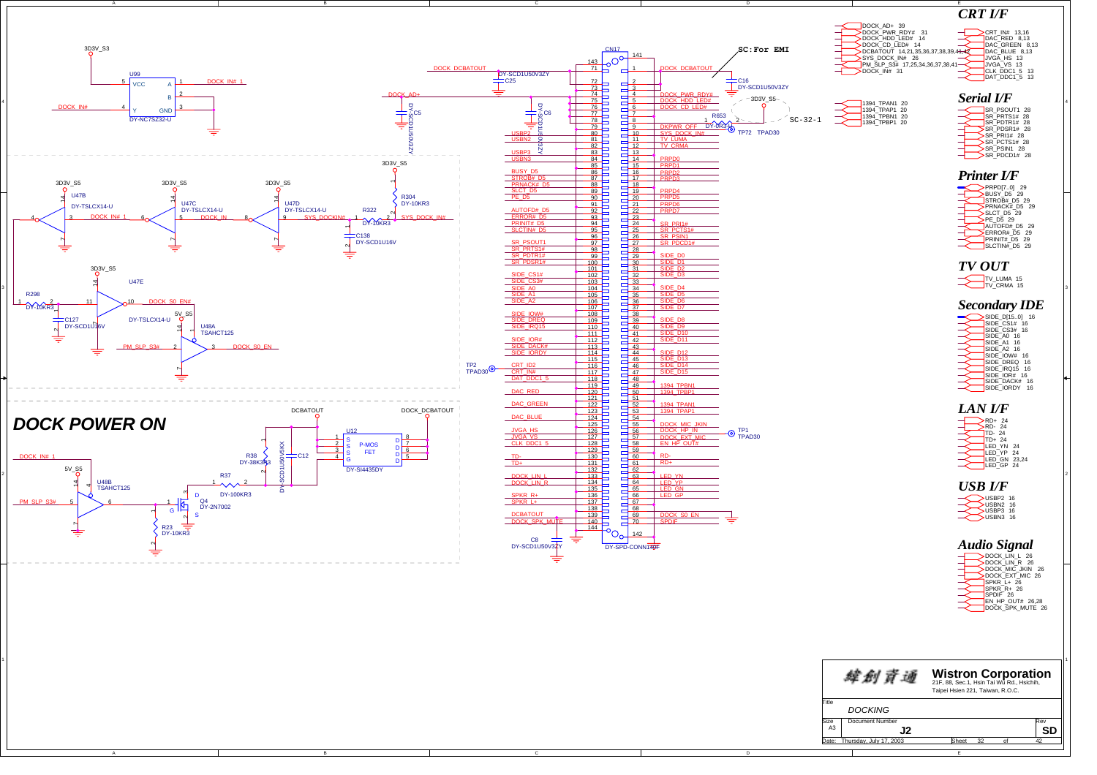![](_page_31_Figure_0.jpeg)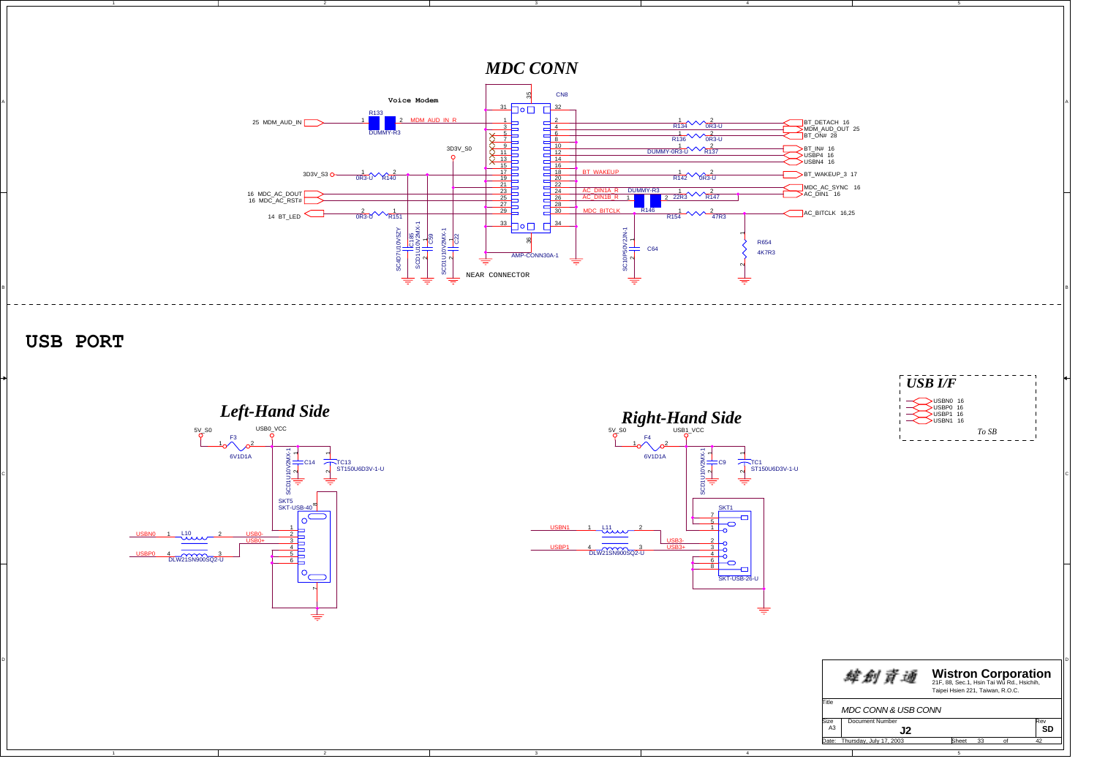![](_page_32_Figure_0.jpeg)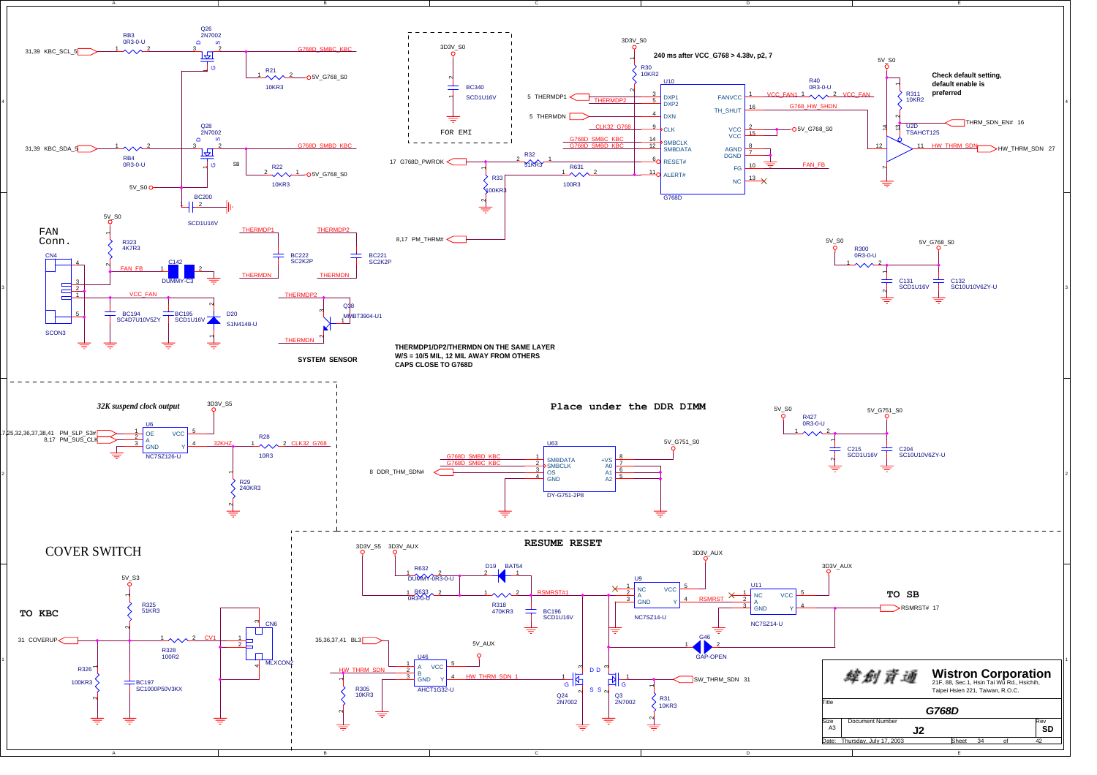![](_page_33_Figure_0.jpeg)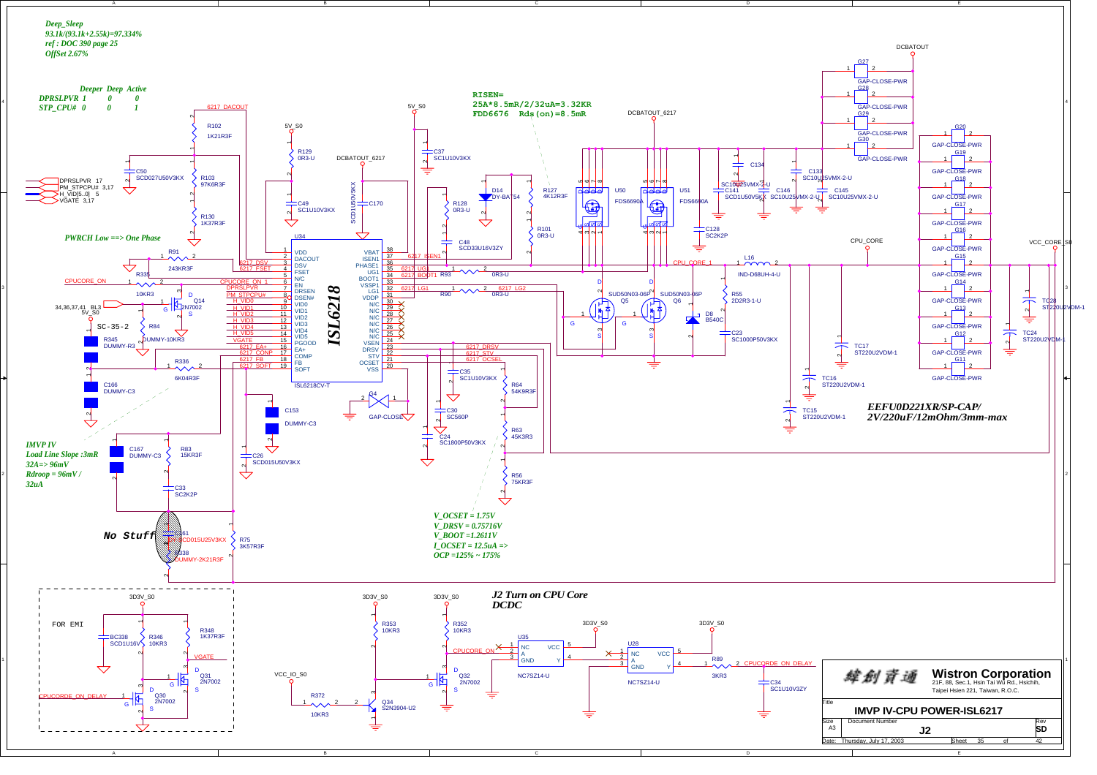![](_page_34_Figure_0.jpeg)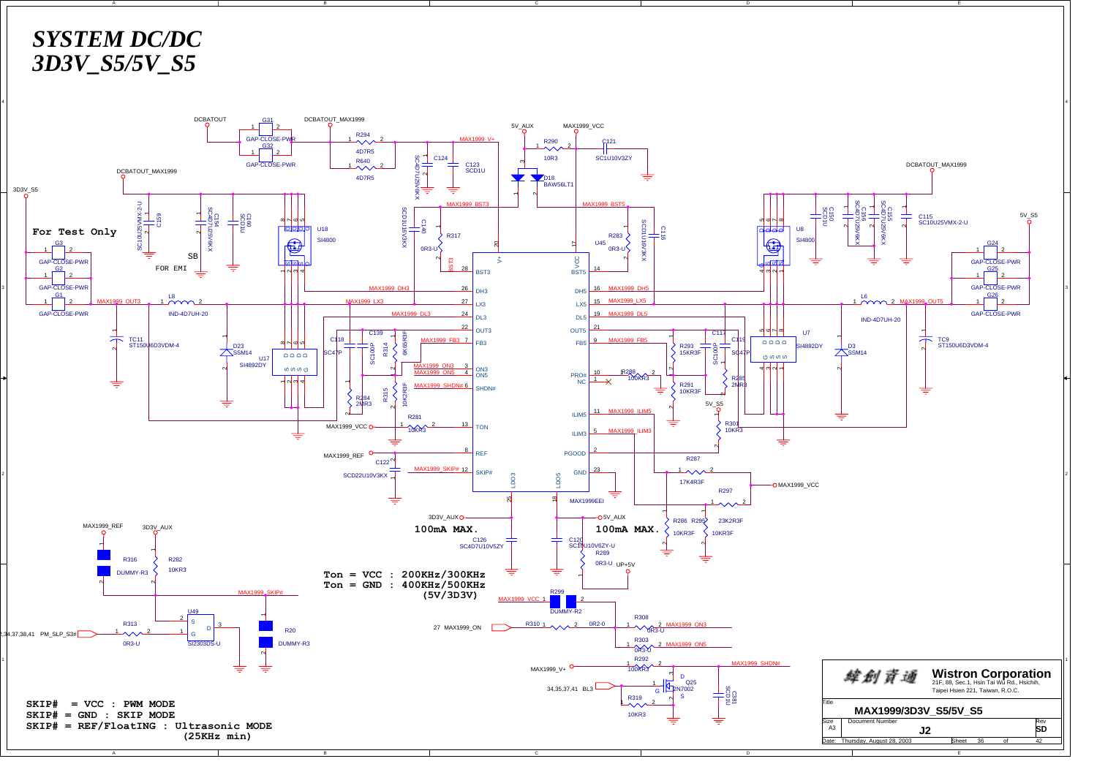![](_page_35_Figure_0.jpeg)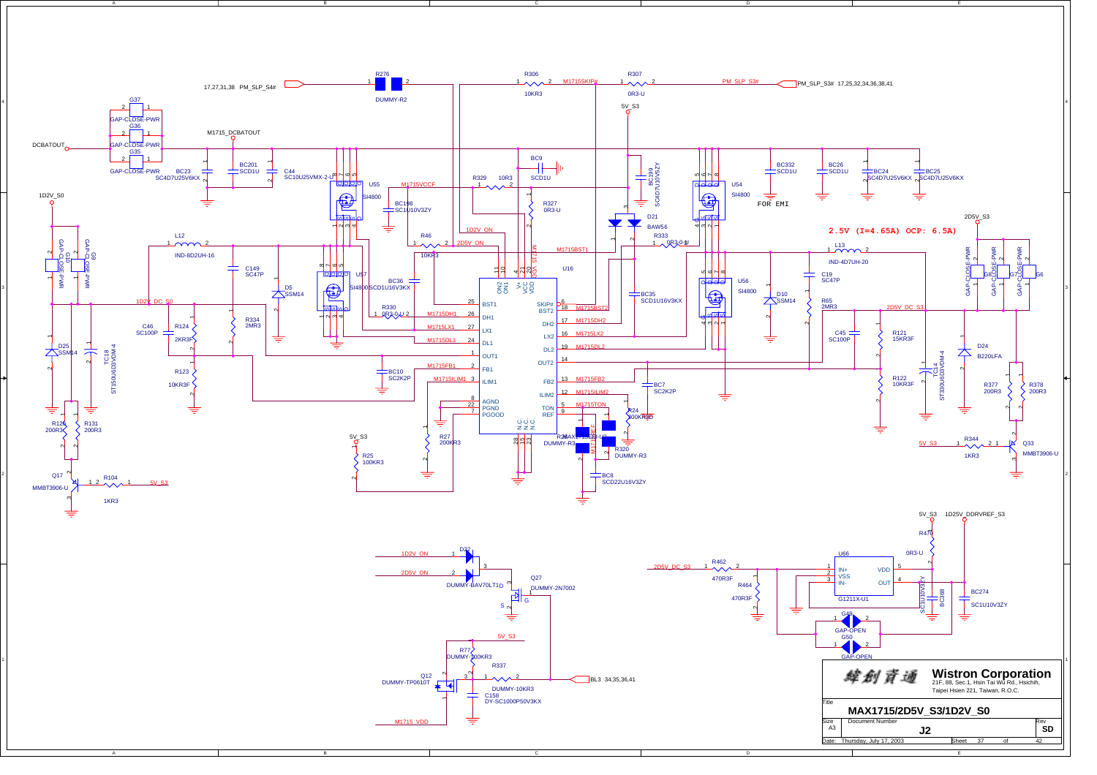![](_page_36_Figure_0.jpeg)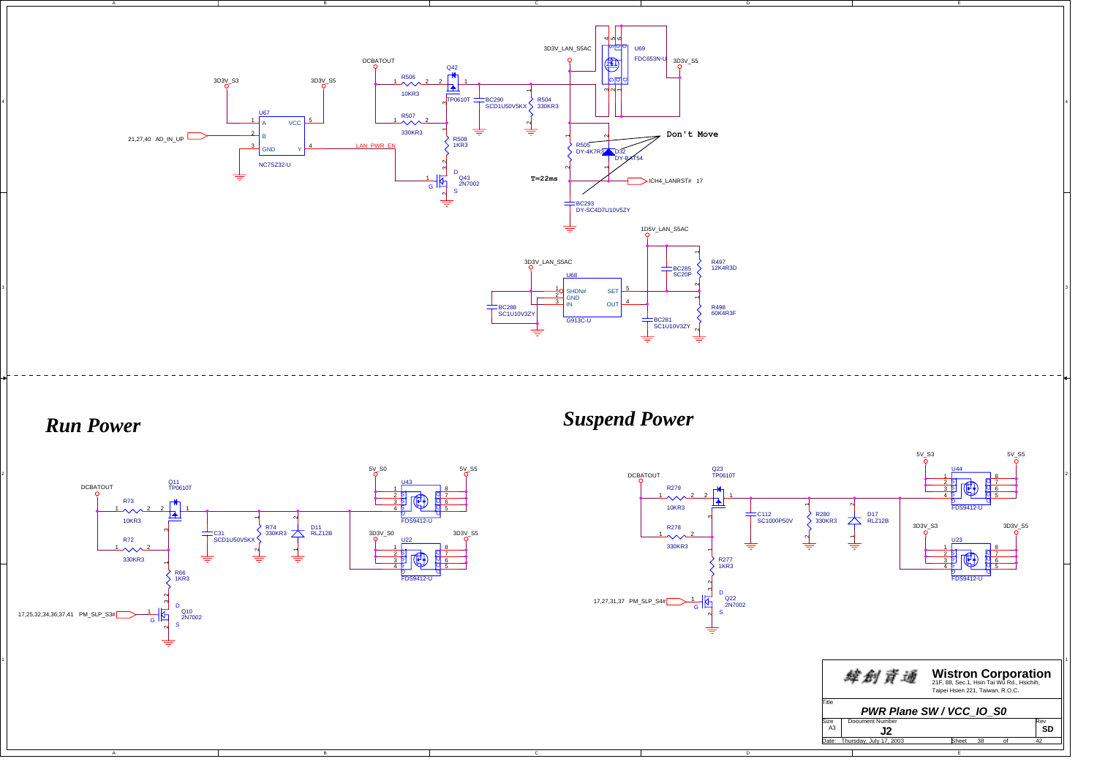![](_page_37_Figure_0.jpeg)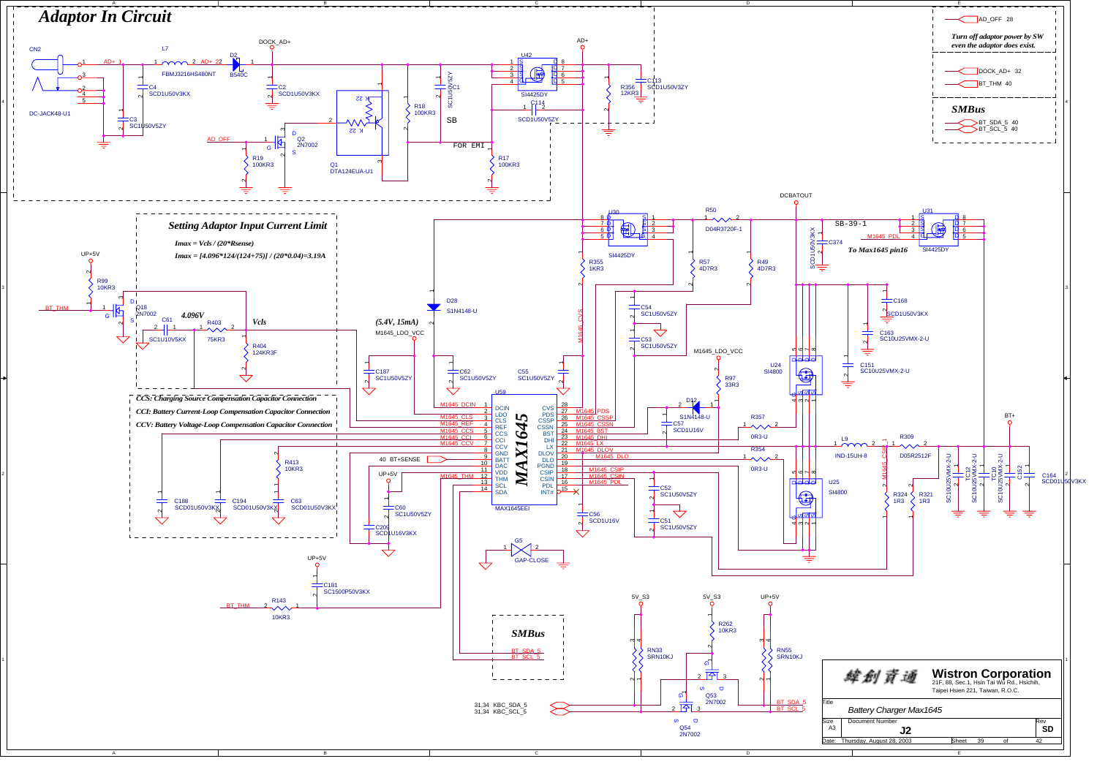![](_page_38_Figure_0.jpeg)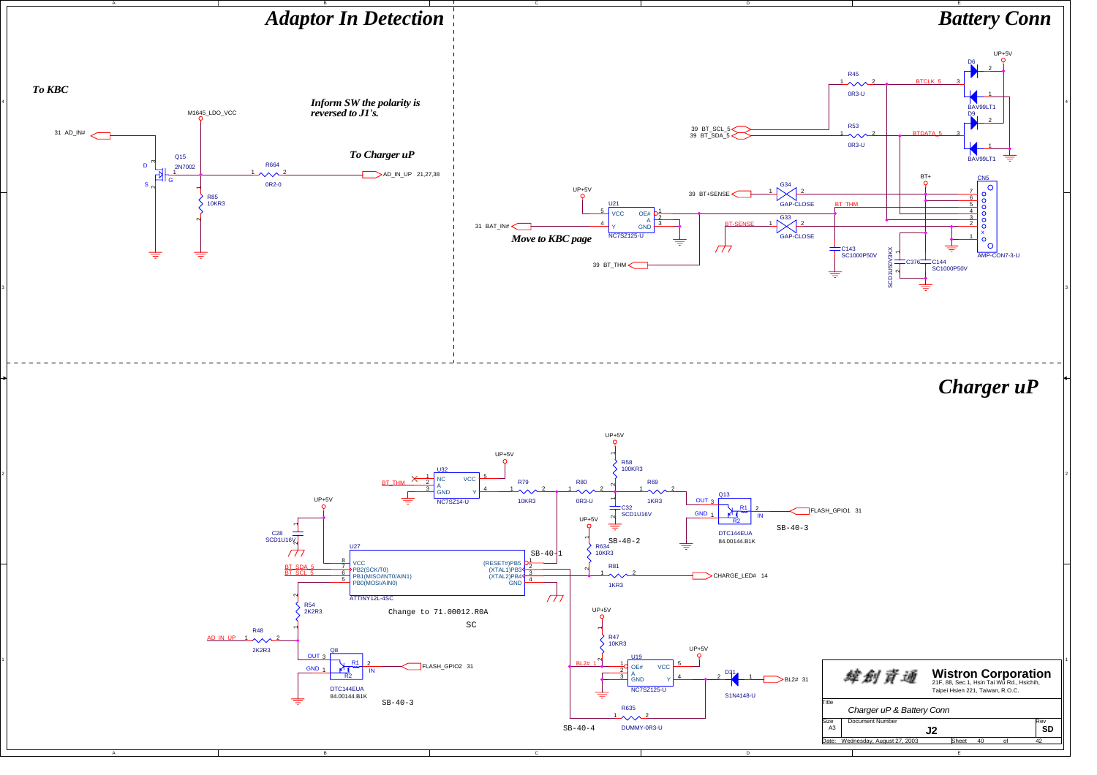![](_page_39_Figure_0.jpeg)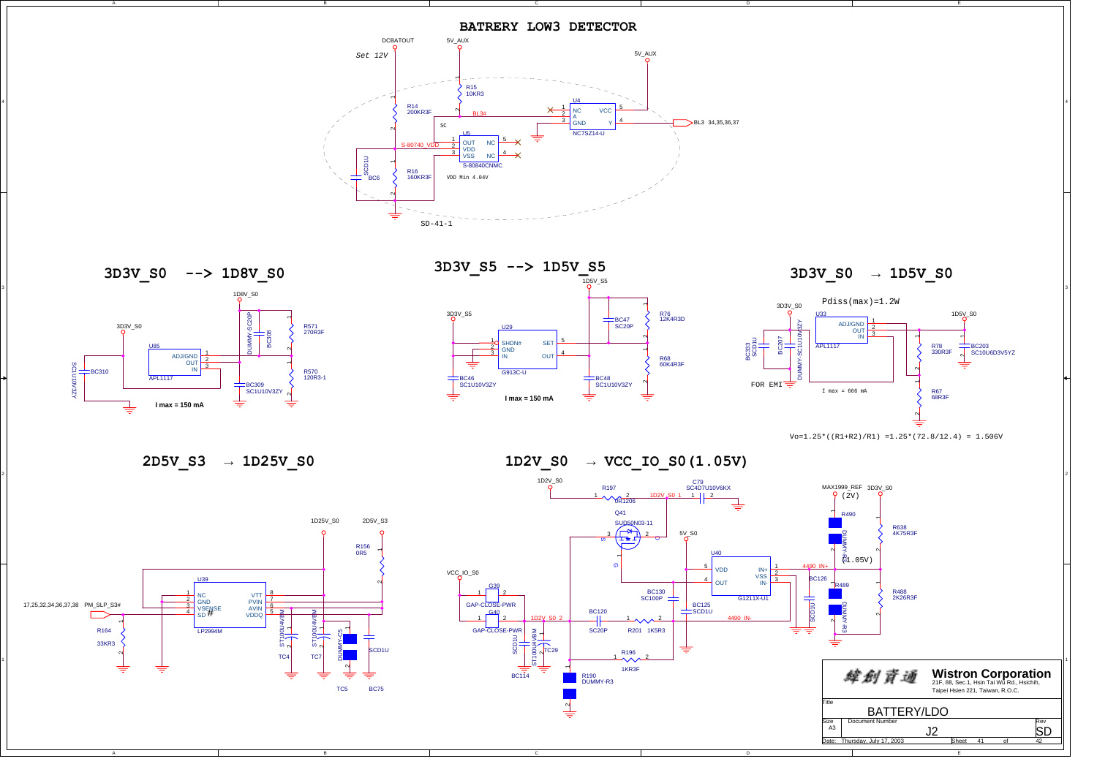![](_page_40_Figure_0.jpeg)

3